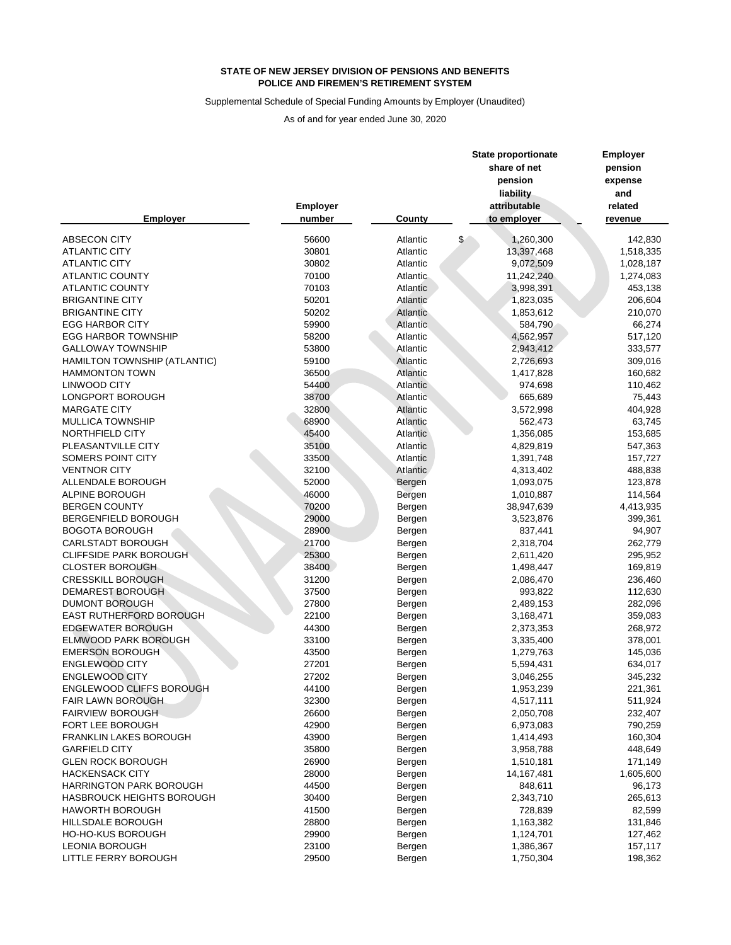Supplemental Schedule of Special Funding Amounts by Employer (Unaudited)

|                                  |          |                 | <b>State proportionate</b> | <b>Employer</b> |  |
|----------------------------------|----------|-----------------|----------------------------|-----------------|--|
|                                  |          |                 | share of net               | pension         |  |
|                                  |          |                 | pension                    | expense         |  |
|                                  |          |                 | liability                  | and             |  |
|                                  | Employer |                 | attributable               | related         |  |
| <b>Employer</b>                  | number   | <b>County</b>   | to employer                | revenue         |  |
| <b>ABSECON CITY</b>              | 56600    | Atlantic        | \$<br>1,260,300            | 142,830         |  |
| <b>ATLANTIC CITY</b>             | 30801    | Atlantic        | 13,397,468                 | 1,518,335       |  |
| <b>ATLANTIC CITY</b>             | 30802    | Atlantic        | 9,072,509                  | 1,028,187       |  |
| <b>ATLANTIC COUNTY</b>           | 70100    | Atlantic        | 11,242,240                 | 1,274,083       |  |
| <b>ATLANTIC COUNTY</b>           | 70103    | Atlantic        | 3,998,391                  | 453,138         |  |
| <b>BRIGANTINE CITY</b>           | 50201    | <b>Atlantic</b> | 1,823,035                  | 206,604         |  |
| <b>BRIGANTINE CITY</b>           | 50202    | Atlantic        | 1,853,612                  | 210,070         |  |
| <b>EGG HARBOR CITY</b>           | 59900    | <b>Atlantic</b> | 584,790                    | 66,274          |  |
| <b>EGG HARBOR TOWNSHIP</b>       | 58200    | Atlantic        | 4,562,957                  | 517,120         |  |
| <b>GALLOWAY TOWNSHIP</b>         | 53800    | Atlantic        | 2,943,412                  | 333,577         |  |
| HAMILTON TOWNSHIP (ATLANTIC)     | 59100    | Atlantic        | 2,726,693                  | 309,016         |  |
| <b>HAMMONTON TOWN</b>            | 36500    | Atlantic        | 1,417,828                  | 160,682         |  |
| <b>LINWOOD CITY</b>              | 54400    | Atlantic        | 974,698                    | 110,462         |  |
| LONGPORT BOROUGH                 | 38700    | Atlantic        | 665,689                    | 75,443          |  |
| <b>MARGATE CITY</b>              | 32800    | <b>Atlantic</b> | 3,572,998                  | 404,928         |  |
| <b>MULLICA TOWNSHIP</b>          | 68900    | Atlantic        | 562,473                    | 63,745          |  |
| NORTHFIELD CITY                  | 45400    | Atlantic        | 1,356,085                  | 153,685         |  |
| PLEASANTVILLE CITY               | 35100    | Atlantic        | 4,829,819                  | 547,363         |  |
| SOMERS POINT CITY                | 33500    | Atlantic        | 1,391,748                  | 157,727         |  |
| <b>VENTNOR CITY</b>              | 32100    | Atlantic        | 4,313,402                  | 488,838         |  |
| ALLENDALE BOROUGH                | 52000    | Bergen          | 1,093,075                  | 123,878         |  |
| ALPINE BOROUGH                   | 46000    | Bergen          | 1,010,887                  | 114,564         |  |
| <b>BERGEN COUNTY</b>             | 70200    | Bergen          | 38,947,639                 | 4,413,935       |  |
| BERGENFIELD BOROUGH              | 29000    | Bergen          | 3,523,876                  | 399,361         |  |
| <b>BOGOTA BOROUGH</b>            | 28900    | Bergen          | 837,441                    | 94,907          |  |
| <b>CARLSTADT BOROUGH</b>         | 21700    | Bergen          | 2,318,704                  | 262,779         |  |
| <b>CLIFFSIDE PARK BOROUGH</b>    | 25300    | Bergen          | 2,611,420                  | 295,952         |  |
| <b>CLOSTER BOROUGH</b>           | 38400    | Bergen          | 1,498,447                  | 169,819         |  |
| <b>CRESSKILL BOROUGH</b>         | 31200    | Bergen          | 2,086,470                  | 236,460         |  |
| DEMAREST BOROUGH                 | 37500    | Bergen          | 993,822                    | 112,630         |  |
| <b>DUMONT BOROUGH</b>            | 27800    | Bergen          | 2,489,153                  | 282,096         |  |
| EAST RUTHERFORD BOROUGH          | 22100    | Bergen          | 3,168,471                  | 359,083         |  |
| <b>EDGEWATER BOROUGH</b>         | 44300    | Bergen          | 2,373,353                  | 268,972         |  |
| ELMWOOD PARK BOROUGH             | 33100    | Bergen          | 3,335,400                  | 378,001         |  |
| <b>EMERSON BOROUGH</b>           | 43500    | Bergen          | 1,279,763                  | 145,036         |  |
| <b>ENGLEWOOD CITY</b>            | 27201    | Bergen          | 5,594,431                  | 634,017         |  |
| <b>ENGLEWOOD CITY</b>            | 27202    | Bergen          | 3,046,255                  | 345,232         |  |
| <b>ENGLEWOOD CLIFFS BOROUGH</b>  | 44100    | Bergen          | 1,953,239                  | 221,361         |  |
| <b>FAIR LAWN BOROUGH</b>         | 32300    |                 | 4,517,111                  | 511,924         |  |
| <b>FAIRVIEW BOROUGH</b>          | 26600    | Bergen          | 2,050,708                  | 232,407         |  |
| FORT LEE BOROUGH                 | 42900    | Bergen          | 6,973,083                  | 790,259         |  |
| <b>FRANKLIN LAKES BOROUGH</b>    | 43900    | Bergen          |                            |                 |  |
| <b>GARFIELD CITY</b>             | 35800    | Bergen          | 1,414,493                  | 160,304         |  |
|                                  |          | Bergen          | 3,958,788                  | 448,649         |  |
| <b>GLEN ROCK BOROUGH</b>         | 26900    | Bergen          | 1,510,181                  | 171,149         |  |
| <b>HACKENSACK CITY</b>           | 28000    | Bergen          | 14, 167, 481               | 1,605,600       |  |
| <b>HARRINGTON PARK BOROUGH</b>   | 44500    | Bergen          | 848,611                    | 96,173          |  |
| <b>HASBROUCK HEIGHTS BOROUGH</b> | 30400    | Bergen          | 2,343,710                  | 265,613         |  |
| <b>HAWORTH BOROUGH</b>           | 41500    | Bergen          | 728,839                    | 82,599          |  |
| HILLSDALE BOROUGH                | 28800    | Bergen          | 1,163,382                  | 131,846         |  |
| <b>HO-HO-KUS BOROUGH</b>         | 29900    | Bergen          | 1,124,701                  | 127,462         |  |
| <b>LEONIA BOROUGH</b>            | 23100    | Bergen          | 1,386,367                  | 157,117         |  |
| LITTLE FERRY BOROUGH             | 29500    | Bergen          | 1,750,304                  | 198,362         |  |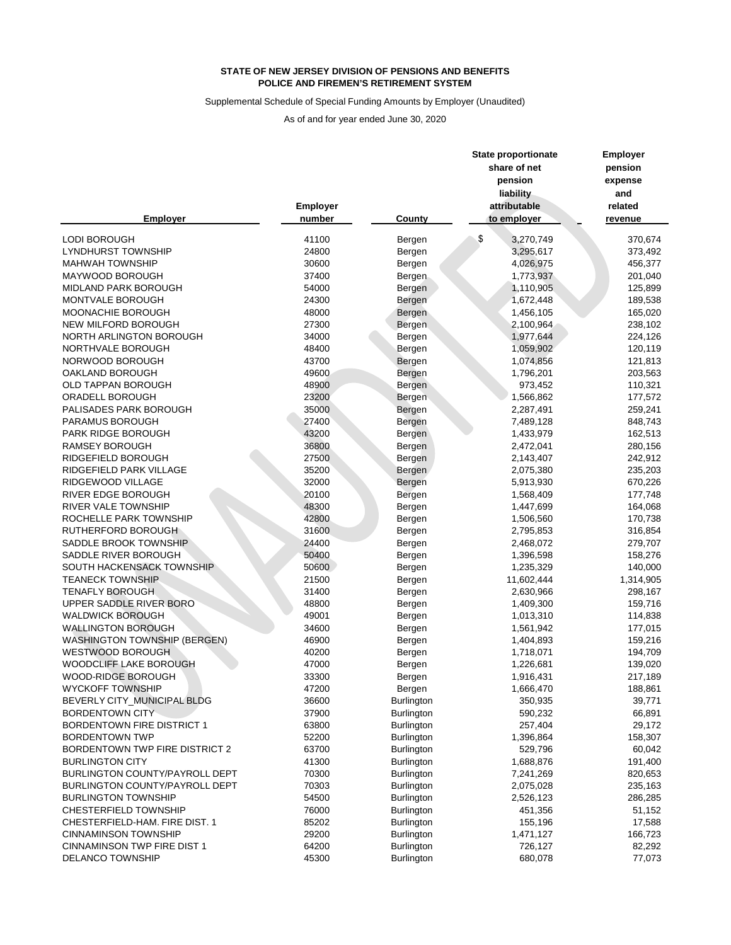## Supplemental Schedule of Special Funding Amounts by Employer (Unaudited)

|                                       |                 |                   | <b>State proportionate</b> | <b>Employer</b> |  |
|---------------------------------------|-----------------|-------------------|----------------------------|-----------------|--|
|                                       |                 |                   | share of net               | pension         |  |
|                                       |                 |                   | pension                    | expense         |  |
|                                       |                 |                   | liability                  | and             |  |
|                                       | <b>Employer</b> |                   | attributable               | related         |  |
| <b>Employer</b>                       | number          | County            | to employer                | revenue         |  |
| <b>LODI BOROUGH</b>                   | 41100           | Bergen            | \$<br>3,270,749            | 370,674         |  |
| <b>LYNDHURST TOWNSHIP</b>             | 24800           | Bergen            | 3,295,617                  | 373,492         |  |
| <b>MAHWAH TOWNSHIP</b>                | 30600           | Bergen            | 4,026,975                  | 456,377         |  |
| MAYWOOD BOROUGH                       | 37400           | Bergen            | 1,773,937                  | 201,040         |  |
| MIDLAND PARK BOROUGH                  | 54000           | Bergen            | 1,110,905                  | 125,899         |  |
| MONTVALE BOROUGH                      | 24300           | Bergen            | 1,672,448                  | 189,538         |  |
| MOONACHIE BOROUGH                     | 48000           | Bergen            | 1,456,105                  | 165,020         |  |
| NEW MILFORD BOROUGH                   | 27300           | <b>Bergen</b>     | 2,100,964                  | 238,102         |  |
| NORTH ARLINGTON BOROUGH               | 34000           | Bergen            | 1,977,644                  | 224,126         |  |
| NORTHVALE BOROUGH                     | 48400           | Bergen            | 1,059,902                  | 120,119         |  |
| NORWOOD BOROUGH                       | 43700           | Bergen            | 1,074,856                  | 121,813         |  |
| OAKLAND BOROUGH                       | 49600           | Bergen            | 1,796,201                  | 203,563         |  |
| OLD TAPPAN BOROUGH                    | 48900           | Bergen            | 973,452                    | 110,321         |  |
| ORADELL BOROUGH                       | 23200           | Bergen            | 1,566,862                  | 177,572         |  |
| PALISADES PARK BOROUGH                | 35000           | Bergen            | 2,287,491                  | 259,241         |  |
| PARAMUS BOROUGH                       | 27400           | Bergen            | 7,489,128                  | 848,743         |  |
| PARK RIDGE BOROUGH                    | 43200           |                   | 1,433,979                  | 162,513         |  |
| <b>RAMSEY BOROUGH</b>                 | 36800           | Bergen            |                            |                 |  |
|                                       |                 | Bergen            | 2,472,041                  | 280,156         |  |
| RIDGEFIELD BOROUGH                    | 27500           | Bergen            | 2,143,407                  | 242,912         |  |
| RIDGEFIELD PARK VILLAGE               | 35200           | Bergen            | 2,075,380                  | 235,203         |  |
| RIDGEWOOD VILLAGE                     | 32000           | Bergen            | 5,913,930                  | 670,226         |  |
| RIVER EDGE BOROUGH                    | 20100           | Bergen            | 1,568,409                  | 177,748         |  |
| RIVER VALE TOWNSHIP                   | 48300           | Bergen            | 1,447,699                  | 164,068         |  |
| ROCHELLE PARK TOWNSHIP                | 42800           | Bergen            | 1,506,560                  | 170,738         |  |
| RUTHERFORD BOROUGH                    | 31600           | Bergen            | 2,795,853                  | 316,854         |  |
| SADDLE BROOK TOWNSHIP                 | 24400           | Bergen            | 2,468,072                  | 279,707         |  |
| SADDLE RIVER BOROUGH                  | 50400           | Bergen            | 1,396,598                  | 158,276         |  |
| SOUTH HACKENSACK TOWNSHIP             | 50600           | Bergen            | 1,235,329                  | 140,000         |  |
| <b>TEANECK TOWNSHIP</b>               | 21500           | Bergen            | 11,602,444                 | 1,314,905       |  |
| <b>TENAFLY BOROUGH</b>                | 31400           | Bergen            | 2,630,966                  | 298,167         |  |
| UPPER SADDLE RIVER BORO               | 48800           | Bergen            | 1,409,300                  | 159,716         |  |
| <b>WALDWICK BOROUGH</b>               | 49001           | Bergen            | 1,013,310                  | 114,838         |  |
| <b>WALLINGTON BOROUGH</b>             | 34600           | Bergen            | 1,561,942                  | 177,015         |  |
| <b>WASHINGTON TOWNSHIP (BERGEN)</b>   | 46900           | Bergen            | 1,404,893                  | 159,216         |  |
| <b>WESTWOOD BOROUGH</b>               | 40200           | Bergen            | 1,718,071                  | 194,709         |  |
| WOODCLIFF LAKE BOROUGH                | 47000           | Bergen            | 1,226,681                  | 139,020         |  |
| WOOD-RIDGE BOROUGH                    | 33300           | Bergen            | 1,916,431                  | 217,189         |  |
| <b>WYCKOFF TOWNSHIP</b>               | 47200           | Bergen            | 1,666,470                  | 188,861         |  |
| BEVERLY CITY_MUNICIPAL BLDG           | 36600           | <b>Burlington</b> | 350,935                    | 39,771          |  |
| <b>BORDENTOWN CITY</b>                | 37900           | Burlington        | 590,232                    | 66,891          |  |
| <b>BORDENTOWN FIRE DISTRICT 1</b>     | 63800           | <b>Burlington</b> | 257,404                    | 29,172          |  |
| <b>BORDENTOWN TWP</b>                 | 52200           | <b>Burlington</b> | 1,396,864                  | 158,307         |  |
| <b>BORDENTOWN TWP FIRE DISTRICT 2</b> | 63700           | <b>Burlington</b> | 529,796                    | 60,042          |  |
| <b>BURLINGTON CITY</b>                | 41300           | <b>Burlington</b> | 1,688,876                  | 191,400         |  |
| BURLINGTON COUNTY/PAYROLL DEPT        | 70300           | <b>Burlington</b> | 7,241,269                  | 820,653         |  |
| BURLINGTON COUNTY/PAYROLL DEPT        | 70303           | <b>Burlington</b> | 2,075,028                  | 235,163         |  |
| <b>BURLINGTON TOWNSHIP</b>            | 54500           | <b>Burlington</b> | 2,526,123                  | 286,285         |  |
| <b>CHESTERFIELD TOWNSHIP</b>          | 76000           | <b>Burlington</b> | 451,356                    | 51,152          |  |
| CHESTERFIELD-HAM. FIRE DIST. 1        | 85202           | <b>Burlington</b> | 155,196                    | 17,588          |  |
| <b>CINNAMINSON TOWNSHIP</b>           | 29200           | <b>Burlington</b> | 1,471,127                  | 166,723         |  |
| <b>CINNAMINSON TWP FIRE DIST 1</b>    | 64200           | <b>Burlington</b> | 726,127                    | 82,292          |  |
| <b>DELANCO TOWNSHIP</b>               | 45300           | Burlington        | 680,078                    | 77,073          |  |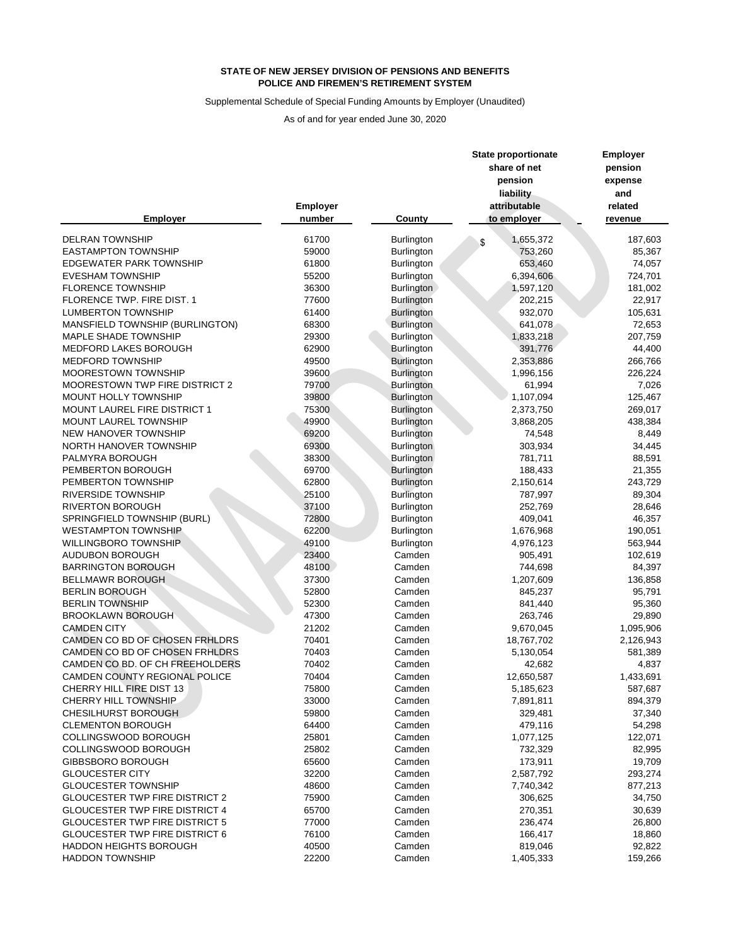#### Supplemental Schedule of Special Funding Amounts by Employer (Unaudited)

|                                       |                 |                   | <b>State proportionate</b><br>share of net | <b>Employer</b><br>pension |  |
|---------------------------------------|-----------------|-------------------|--------------------------------------------|----------------------------|--|
|                                       |                 |                   | pension                                    | expense                    |  |
|                                       |                 |                   | liability                                  | and                        |  |
|                                       | <b>Employer</b> |                   | attributable                               | related                    |  |
| <b>Employer</b>                       | number          | County            | to employer                                | revenue                    |  |
| <b>DELRAN TOWNSHIP</b>                | 61700           | <b>Burlington</b> | 1,655,372<br>\$                            | 187,603                    |  |
| <b>EASTAMPTON TOWNSHIP</b>            | 59000           | <b>Burlington</b> | 753,260                                    | 85,367                     |  |
| <b>EDGEWATER PARK TOWNSHIP</b>        | 61800           | <b>Burlington</b> | 653,460                                    | 74,057                     |  |
| <b>EVESHAM TOWNSHIP</b>               | 55200           | <b>Burlington</b> | 6,394,606                                  | 724,701                    |  |
| <b>FLORENCE TOWNSHIP</b>              | 36300           | <b>Burlington</b> | 1,597,120                                  | 181,002                    |  |
| FLORENCE TWP. FIRE DIST. 1            | 77600           | <b>Burlington</b> | 202,215                                    | 22,917                     |  |
| <b>LUMBERTON TOWNSHIP</b>             | 61400           | <b>Burlington</b> | 932,070                                    | 105,631                    |  |
| MANSFIELD TOWNSHIP (BURLINGTON)       | 68300           | <b>Burlington</b> | 641,078                                    | 72,653                     |  |
| <b>MAPLE SHADE TOWNSHIP</b>           | 29300           | <b>Burlington</b> | 1,833,218                                  | 207,759                    |  |
| <b>MEDFORD LAKES BOROUGH</b>          | 62900           | Burlington        | 391,776                                    | 44,400                     |  |
| MEDFORD TOWNSHIP                      | 49500           | Burlington        | 2,353,886                                  | 266,766                    |  |
| MOORESTOWN TOWNSHIP                   | 39600           | <b>Burlington</b> | 1,996,156                                  | 226,224                    |  |
| MOORESTOWN TWP FIRE DISTRICT 2        | 79700           | <b>Burlington</b> | 61,994                                     | 7,026                      |  |
| MOUNT HOLLY TOWNSHIP                  | 39800           | <b>Burlington</b> | 1,107,094                                  | 125,467                    |  |
| MOUNT LAUREL FIRE DISTRICT 1          | 75300           | <b>Burlington</b> | 2,373,750                                  | 269,017                    |  |
| MOUNT LAUREL TOWNSHIP                 | 49900           | <b>Burlington</b> | 3,868,205                                  | 438,384                    |  |
| NEW HANOVER TOWNSHIP                  | 69200           | <b>Burlington</b> | 74,548                                     | 8,449                      |  |
| NORTH HANOVER TOWNSHIP                | 69300           | <b>Burlington</b> | 303,934                                    | 34,445                     |  |
| PALMYRA BOROUGH                       | 38300           | <b>Burlington</b> | 781,711                                    | 88,591                     |  |
| PEMBERTON BOROUGH                     | 69700           | Burlington        | 188,433                                    | 21,355                     |  |
| PEMBERTON TOWNSHIP                    | 62800           | <b>Burlington</b> | 2,150,614                                  | 243,729                    |  |
| <b>RIVERSIDE TOWNSHIP</b>             | 25100           | <b>Burlington</b> | 787,997                                    | 89,304                     |  |
| <b>RIVERTON BOROUGH</b>               | 37100           | <b>Burlington</b> | 252,769                                    | 28,646                     |  |
| SPRINGFIELD TOWNSHIP (BURL)           | 72800           | <b>Burlington</b> | 409,041                                    | 46,357                     |  |
| <b>WESTAMPTON TOWNSHIP</b>            | 62200           | Burlington        | 1,676,968                                  | 190,051                    |  |
| <b>WILLINGBORO TOWNSHIP</b>           | 49100           | <b>Burlington</b> | 4,976,123                                  | 563,944                    |  |
| <b>AUDUBON BOROUGH</b>                | 23400           | Camden            | 905,491                                    | 102,619                    |  |
| <b>BARRINGTON BOROUGH</b>             | 48100           | Camden            | 744,698                                    | 84,397                     |  |
| <b>BELLMAWR BOROUGH</b>               | 37300           | Camden            | 1,207,609                                  | 136,858                    |  |
| <b>BERLIN BOROUGH</b>                 | 52800           | Camden            | 845,237                                    | 95,791                     |  |
| <b>BERLIN TOWNSHIP</b>                | 52300           | Camden            | 841,440                                    | 95,360                     |  |
| <b>BROOKLAWN BOROUGH</b>              | 47300           | Camden            | 263,746                                    | 29,890                     |  |
| <b>CAMDEN CITY</b>                    | 21202           | Camden            | 9,670,045                                  | 1,095,906                  |  |
| CAMDEN CO BD OF CHOSEN FRHLDRS        | 70401           | Camden            | 18,767,702                                 | 2,126,943                  |  |
| CAMDEN CO BD OF CHOSEN FRHLDRS        | 70403           | Camden            | 5,130,054                                  | 581,389                    |  |
| CAMDEN CO BD. OF CH FREEHOLDERS       | 70402           | Camden            | 42,682                                     | 4,837                      |  |
| CAMDEN COUNTY REGIONAL POLICE         | 70404           | Camden            | 12,650,587                                 | 1,433,691                  |  |
| <b>CHERRY HILL FIRE DIST 13</b>       | 75800           | Camden            | 5,185,623                                  | 587,687                    |  |
| <b>CHERRY HILL TOWNSHIP</b>           | 33000           | Camden            | 7,891,811                                  | 894,379                    |  |
| <b>CHESILHURST BOROUGH</b>            | 59800           | Camden            | 329,481                                    | 37,340                     |  |
| <b>CLEMENTON BOROUGH</b>              | 64400           | Camden            | 479,116                                    | 54,298                     |  |
| COLLINGSWOOD BOROUGH                  | 25801           | Camden            | 1,077,125                                  | 122,071                    |  |
| COLLINGSWOOD BOROUGH                  | 25802           | Camden            | 732,329                                    | 82,995                     |  |
| <b>GIBBSBORO BOROUGH</b>              | 65600           | Camden            | 173,911                                    | 19,709                     |  |
| <b>GLOUCESTER CITY</b>                | 32200           | Camden            | 2,587,792                                  | 293,274                    |  |
| <b>GLOUCESTER TOWNSHIP</b>            | 48600           | Camden            | 7,740,342                                  | 877,213                    |  |
| <b>GLOUCESTER TWP FIRE DISTRICT 2</b> | 75900           | Camden            | 306,625                                    | 34,750                     |  |
| <b>GLOUCESTER TWP FIRE DISTRICT 4</b> | 65700           | Camden            | 270,351                                    | 30,639                     |  |
| <b>GLOUCESTER TWP FIRE DISTRICT 5</b> | 77000           | Camden            | 236,474                                    | 26,800                     |  |
| <b>GLOUCESTER TWP FIRE DISTRICT 6</b> | 76100           | Camden            | 166,417                                    | 18,860                     |  |
| HADDON HEIGHTS BOROUGH                | 40500           | Camden            | 819,046                                    | 92,822                     |  |
| <b>HADDON TOWNSHIP</b>                | 22200           | Camden            | 1,405,333                                  | 159,266                    |  |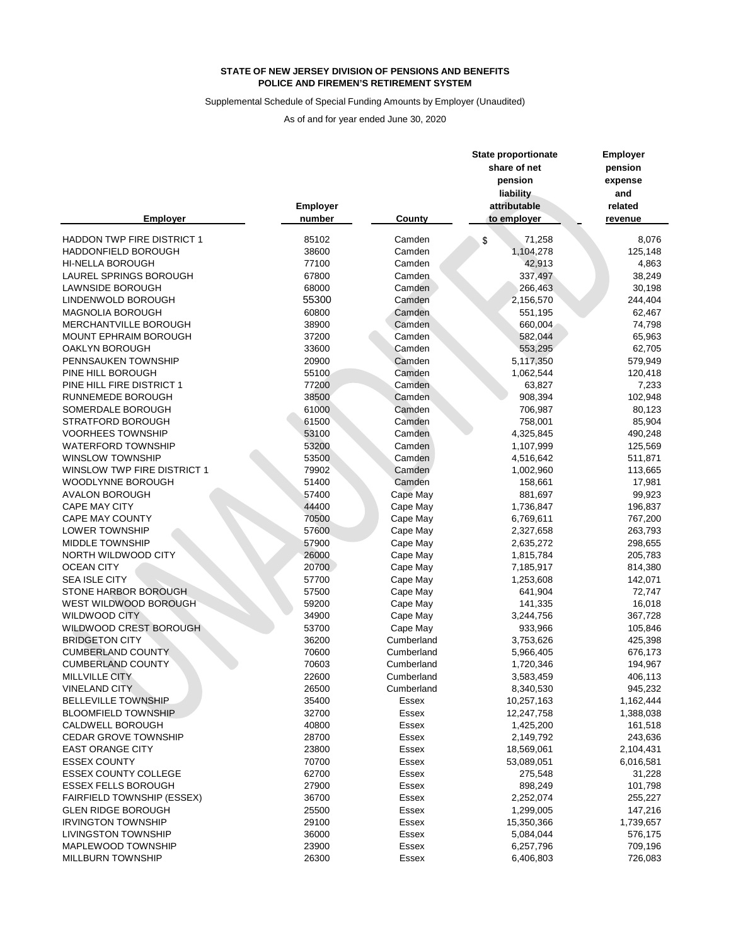## Supplemental Schedule of Special Funding Amounts by Employer (Unaudited)

|                                    |                 |               | <b>State proportionate</b><br>share of net<br>pension | <b>Employer</b><br>pension<br>expense |  |
|------------------------------------|-----------------|---------------|-------------------------------------------------------|---------------------------------------|--|
|                                    |                 |               | liability                                             | and                                   |  |
|                                    | <b>Employer</b> |               | attributable                                          | related                               |  |
| <b>Employer</b>                    | number          | <b>County</b> | to employer                                           | revenue                               |  |
| <b>HADDON TWP FIRE DISTRICT 1</b>  | 85102           | Camden        | 71,258<br>\$                                          | 8,076                                 |  |
| HADDONFIELD BOROUGH                | 38600           | Camden        | 1,104,278                                             | 125,148                               |  |
| <b>HI-NELLA BOROUGH</b>            | 77100           | Camden        | 42,913                                                | 4,863                                 |  |
| <b>LAUREL SPRINGS BOROUGH</b>      | 67800           | Camden        | 337,497                                               | 38,249                                |  |
| LAWNSIDE BOROUGH                   | 68000           | Camden        | 266,463                                               | 30,198                                |  |
| LINDENWOLD BOROUGH                 | 55300           | Camden        | 2,156,570                                             | 244,404                               |  |
| <b>MAGNOLIA BOROUGH</b>            | 60800           | Camden        | 551,195                                               | 62,467                                |  |
| MERCHANTVILLE BOROUGH              | 38900           | Camden        | 660,004                                               | 74,798                                |  |
| MOUNT EPHRAIM BOROUGH              | 37200           | Camden        | 582,044                                               | 65,963                                |  |
| OAKLYN BOROUGH                     | 33600           | Camden        | 553,295                                               | 62,705                                |  |
| PENNSAUKEN TOWNSHIP                | 20900           | Camden        | 5,117,350                                             | 579,949                               |  |
| PINE HILL BOROUGH                  | 55100           | Camden        | 1,062,544                                             | 120,418                               |  |
| PINE HILL FIRE DISTRICT 1          | 77200           | Camden        | 63,827                                                |                                       |  |
|                                    |                 |               |                                                       | 7,233                                 |  |
| RUNNEMEDE BOROUGH                  | 38500           | Camden        | 908,394                                               | 102,948                               |  |
| SOMERDALE BOROUGH                  | 61000           | Camden        | 706,987                                               | 80,123                                |  |
| <b>STRATFORD BOROUGH</b>           | 61500           | Camden        | 758,001                                               | 85,904                                |  |
| <b>VOORHEES TOWNSHIP</b>           | 53100           | Camden        | 4,325,845                                             | 490,248                               |  |
| WATERFORD TOWNSHIP                 | 53200           | Camden        | 1,107,999                                             | 125,569                               |  |
| <b>WINSLOW TOWNSHIP</b>            | 53500           | Camden        | 4,516,642                                             | 511,871                               |  |
| <b>WINSLOW TWP FIRE DISTRICT 1</b> | 79902           | Camden        | 1,002,960                                             | 113,665                               |  |
| WOODLYNNE BOROUGH                  | 51400           | Camden        | 158,661                                               | 17,981                                |  |
| <b>AVALON BOROUGH</b>              | 57400           | Cape May      | 881,697                                               | 99,923                                |  |
| <b>CAPE MAY CITY</b>               | 44400           | Cape May      | 1,736,847                                             | 196,837                               |  |
| <b>CAPE MAY COUNTY</b>             | 70500           | Cape May      | 6,769,611                                             | 767,200                               |  |
| LOWER TOWNSHIP                     | 57600           | Cape May      | 2,327,658                                             | 263,793                               |  |
| <b>MIDDLE TOWNSHIP</b>             | 57900           | Cape May      | 2,635,272                                             | 298,655                               |  |
| NORTH WILDWOOD CITY                | 26000           | Cape May      | 1,815,784                                             | 205,783                               |  |
| <b>OCEAN CITY</b>                  | 20700           | Cape May      | 7,185,917                                             | 814,380                               |  |
| <b>SEA ISLE CITY</b>               | 57700           | Cape May      | 1,253,608                                             | 142,071                               |  |
| STONE HARBOR BOROUGH               | 57500           | Cape May      | 641,904                                               | 72,747                                |  |
| WEST WILDWOOD BOROUGH              | 59200           | Cape May      | 141,335                                               | 16,018                                |  |
| <b>WILDWOOD CITY</b>               | 34900           | Cape May      | 3,244,756                                             | 367,728                               |  |
| WILDWOOD CREST BOROUGH             | 53700           | Cape May      | 933,966                                               | 105,846                               |  |
| <b>BRIDGETON CITY</b>              | 36200           | Cumberland    | 3,753,626                                             | 425,398                               |  |
| <b>CUMBERLAND COUNTY</b>           | 70600           | Cumberland    | 5,966,405                                             | 676,173                               |  |
| <b>CUMBERLAND COUNTY</b>           | 70603           | Cumberland    | 1,720,346                                             | 194,967                               |  |
| <b>MILLVILLE CITY</b>              | 22600           | Cumberland    | 3,583,459                                             | 406,113                               |  |
| <b>VINELAND CITY</b>               | 26500           | Cumberland    | 8,340,530                                             | 945,232                               |  |
| <b>BELLEVILLE TOWNSHIP</b>         | 35400           | Essex         | 10,257,163                                            | 1,162,444                             |  |
| <b>BLOOMFIELD TOWNSHIP</b>         | 32700           | Essex         | 12,247,758                                            | 1,388,038                             |  |
| CALDWELL BOROUGH                   | 40800           | <b>Essex</b>  | 1,425,200                                             | 161,518                               |  |
| <b>CEDAR GROVE TOWNSHIP</b>        | 28700           | Essex         | 2,149,792                                             | 243,636                               |  |
| <b>EAST ORANGE CITY</b>            | 23800           | <b>Essex</b>  | 18,569,061                                            | 2,104,431                             |  |
| <b>ESSEX COUNTY</b>                | 70700           | <b>Essex</b>  | 53,089,051                                            | 6,016,581                             |  |
| <b>ESSEX COUNTY COLLEGE</b>        | 62700           | Essex         | 275,548                                               |                                       |  |
| <b>ESSEX FELLS BOROUGH</b>         | 27900           | Essex         |                                                       | 31,228                                |  |
|                                    |                 |               | 898,249                                               | 101,798                               |  |
| <b>FAIRFIELD TOWNSHIP (ESSEX)</b>  | 36700           | Essex         | 2,252,074                                             | 255,227                               |  |
| <b>GLEN RIDGE BOROUGH</b>          | 25500           | Essex         | 1,299,005                                             | 147,216                               |  |
| <b>IRVINGTON TOWNSHIP</b>          | 29100           | <b>Essex</b>  | 15,350,366                                            | 1,739,657                             |  |
| <b>LIVINGSTON TOWNSHIP</b>         | 36000           | <b>Essex</b>  | 5,084,044                                             | 576,175                               |  |
| MAPLEWOOD TOWNSHIP                 | 23900           | Essex         | 6,257,796                                             | 709,196                               |  |
| <b>MILLBURN TOWNSHIP</b>           | 26300           | <b>Essex</b>  | 6,406,803                                             | 726,083                               |  |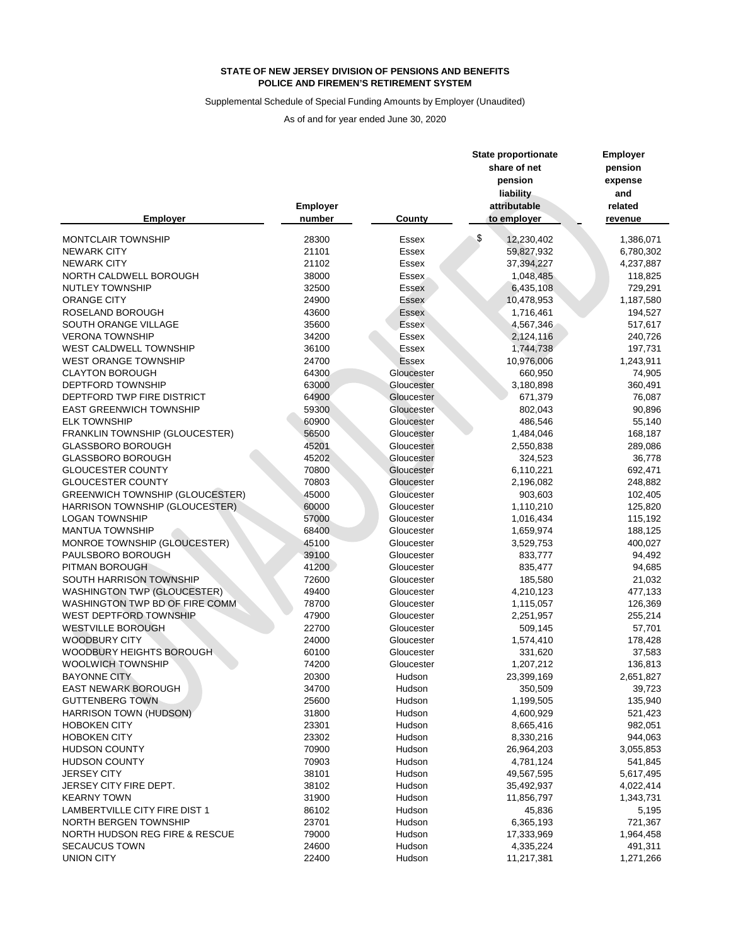## Supplemental Schedule of Special Funding Amounts by Employer (Unaudited)

|                                        |                 |              | <b>State proportionate</b> | <b>Employer</b> |  |
|----------------------------------------|-----------------|--------------|----------------------------|-----------------|--|
|                                        |                 |              | share of net               | pension         |  |
|                                        |                 |              | pension                    | expense         |  |
|                                        |                 |              | liability                  | and             |  |
|                                        | <b>Employer</b> |              | attributable               | related         |  |
| <b>Employer</b>                        | number          | County       | to employer                | revenue         |  |
| <b>MONTCLAIR TOWNSHIP</b>              | 28300           | <b>Essex</b> | \$<br>12,230,402           | 1,386,071       |  |
| <b>NEWARK CITY</b>                     | 21101           | <b>Essex</b> | 59,827,932                 | 6,780,302       |  |
| <b>NEWARK CITY</b>                     | 21102           | Essex        | 37,394,227                 | 4,237,887       |  |
| NORTH CALDWELL BOROUGH                 | 38000           | Essex        | 1,048,485                  | 118,825         |  |
| <b>NUTLEY TOWNSHIP</b>                 | 32500           | <b>Essex</b> | 6,435,108                  | 729,291         |  |
| <b>ORANGE CITY</b>                     | 24900           | <b>Essex</b> | 10,478,953                 | 1,187,580       |  |
| ROSELAND BOROUGH                       | 43600           | <b>Essex</b> | 1,716,461                  | 194,527         |  |
| SOUTH ORANGE VILLAGE                   | 35600           | Essex        | 4,567,346                  | 517,617         |  |
| <b>VERONA TOWNSHIP</b>                 | 34200           | Essex        | 2,124,116                  | 240,726         |  |
| WEST CALDWELL TOWNSHIP                 | 36100           | <b>Essex</b> | 1,744,738                  | 197,731         |  |
| <b>WEST ORANGE TOWNSHIP</b>            | 24700           | <b>Essex</b> | 10,976,006                 | 1,243,911       |  |
| <b>CLAYTON BOROUGH</b>                 | 64300           | Gloucester   | 660,950                    | 74,905          |  |
| DEPTFORD TOWNSHIP                      | 63000           | Gloucester   | 3,180,898                  | 360,491         |  |
| DEPTFORD TWP FIRE DISTRICT             | 64900           | Gloucester   | 671,379                    | 76,087          |  |
| <b>EAST GREENWICH TOWNSHIP</b>         | 59300           | Gloucester   | 802,043                    | 90,896          |  |
| <b>ELK TOWNSHIP</b>                    | 60900           | Gloucester   | 486,546                    | 55,140          |  |
| FRANKLIN TOWNSHIP (GLOUCESTER)         | 56500           | Gloucester   | 1,484,046                  | 168,187         |  |
| <b>GLASSBORO BOROUGH</b>               | 45201           | Gloucester   | 2,550,838                  | 289,086         |  |
| <b>GLASSBORO BOROUGH</b>               | 45202           | Gloucester   | 324,523                    | 36,778          |  |
| <b>GLOUCESTER COUNTY</b>               | 70800           | Gloucester   | 6,110,221                  | 692,471         |  |
| <b>GLOUCESTER COUNTY</b>               | 70803           | Gloucester   | 2,196,082                  | 248,882         |  |
| <b>GREENWICH TOWNSHIP (GLOUCESTER)</b> | 45000           | Gloucester   | 903,603                    | 102,405         |  |
| <b>HARRISON TOWNSHIP (GLOUCESTER)</b>  | 60000           | Gloucester   | 1,110,210                  | 125,820         |  |
| <b>LOGAN TOWNSHIP</b>                  | 57000           | Gloucester   | 1,016,434                  | 115,192         |  |
| <b>MANTUA TOWNSHIP</b>                 | 68400           | Gloucester   | 1,659,974                  | 188,125         |  |
| MONROE TOWNSHIP (GLOUCESTER)           | 45100           | Gloucester   | 3,529,753                  | 400,027         |  |
| PAULSBORO BOROUGH                      | 39100           | Gloucester   | 833,777                    | 94,492          |  |
| PITMAN BOROUGH                         | 41200           | Gloucester   | 835,477                    | 94,685          |  |
| SOUTH HARRISON TOWNSHIP                | 72600           | Gloucester   | 185,580                    | 21,032          |  |
| <b>WASHINGTON TWP (GLOUCESTER)</b>     | 49400           | Gloucester   | 4,210,123                  | 477,133         |  |
| WASHINGTON TWP BD OF FIRE COMM         | 78700           | Gloucester   | 1,115,057                  | 126,369         |  |
| <b>WEST DEPTFORD TOWNSHIP</b>          | 47900           | Gloucester   | 2,251,957                  | 255,214         |  |
| <b>WESTVILLE BOROUGH</b>               | 22700           | Gloucester   | 509,145                    | 57,701          |  |
| <b>WOODBURY CITY</b>                   | 24000           | Gloucester   | 1,574,410                  | 178,428         |  |
| WOODBURY HEIGHTS BOROUGH               | 60100           | Gloucester   | 331,620                    | 37,583          |  |
| <b>WOOLWICH TOWNSHIP</b>               | 74200           | Gloucester   | 1,207,212                  | 136,813         |  |
| <b>BAYONNE CITY</b>                    | 20300           | Hudson       | 23,399,169                 | 2,651,827       |  |
| <b>EAST NEWARK BOROUGH</b>             | 34700           | Hudson       | 350,509                    | 39,723          |  |
| <b>GUTTENBERG TOWN</b>                 | 25600           | Hudson       | 1,199,505                  | 135,940         |  |
| HARRISON TOWN (HUDSON)                 | 31800           | Hudson       | 4,600,929                  | 521,423         |  |
| <b>HOBOKEN CITY</b>                    | 23301           | Hudson       | 8,665,416                  | 982,051         |  |
| <b>HOBOKEN CITY</b>                    | 23302           | Hudson       | 8,330,216                  | 944,063         |  |
| <b>HUDSON COUNTY</b>                   | 70900           | Hudson       | 26,964,203                 | 3,055,853       |  |
| <b>HUDSON COUNTY</b>                   | 70903           | Hudson       | 4,781,124                  | 541,845         |  |
| <b>JERSEY CITY</b>                     | 38101           | Hudson       | 49,567,595                 | 5,617,495       |  |
| JERSEY CITY FIRE DEPT.                 | 38102           | Hudson       | 35,492,937                 | 4,022,414       |  |
| <b>KEARNY TOWN</b>                     | 31900           | Hudson       | 11,856,797                 | 1,343,731       |  |
| <b>LAMBERTVILLE CITY FIRE DIST 1</b>   | 86102           | Hudson       | 45,836                     | 5,195           |  |
| NORTH BERGEN TOWNSHIP                  | 23701           | Hudson       | 6,365,193                  | 721,367         |  |
| NORTH HUDSON REG FIRE & RESCUE         | 79000           | Hudson       | 17,333,969                 | 1,964,458       |  |
| <b>SECAUCUS TOWN</b>                   | 24600           | Hudson       | 4,335,224                  | 491,311         |  |
| <b>UNION CITY</b>                      | 22400           | Hudson       | 11,217,381                 | 1,271,266       |  |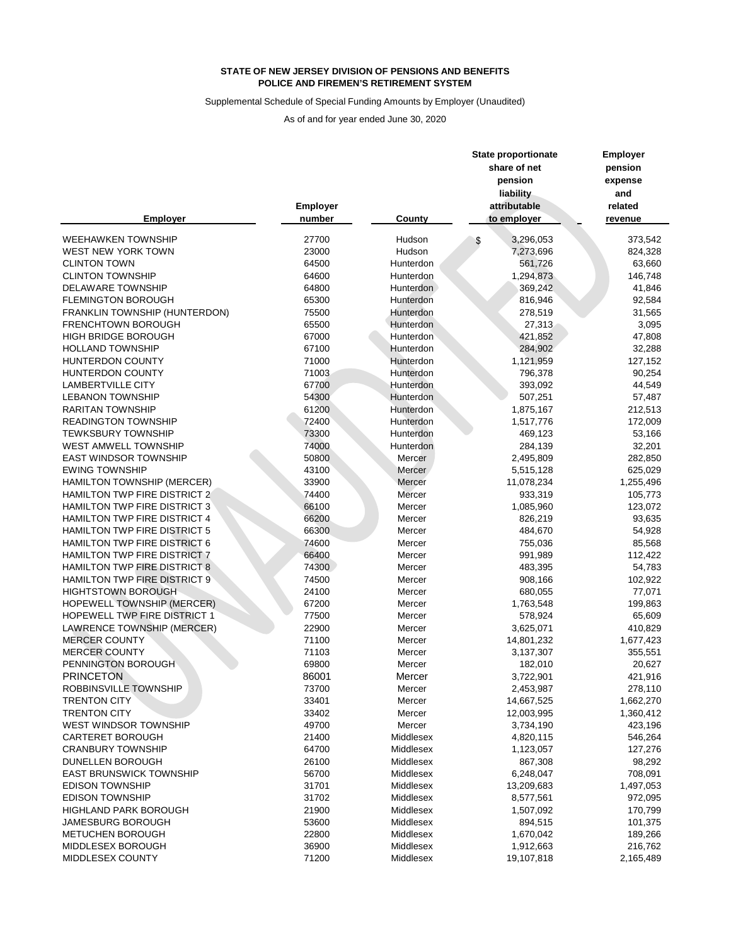## Supplemental Schedule of Special Funding Amounts by Employer (Unaudited)

|                                     |                           |           | <b>State proportionate</b><br>share of net<br>pension<br>liability | <b>Employer</b><br>pension<br>expense<br>and |  |
|-------------------------------------|---------------------------|-----------|--------------------------------------------------------------------|----------------------------------------------|--|
| <b>Employer</b>                     | <b>Employer</b><br>number | County    | attributable<br>to employer                                        | related<br>revenue                           |  |
| <b>WEEHAWKEN TOWNSHIP</b>           | 27700                     | Hudson    | 3,296,053                                                          | 373,542                                      |  |
| WEST NEW YORK TOWN                  | 23000                     | Hudson    | 7,273,696                                                          | 824,328                                      |  |
| <b>CLINTON TOWN</b>                 | 64500                     | Hunterdon | 561,726                                                            | 63,660                                       |  |
| <b>CLINTON TOWNSHIP</b>             | 64600                     | Hunterdon | 1,294,873                                                          | 146,748                                      |  |
| <b>DELAWARE TOWNSHIP</b>            | 64800                     | Hunterdon | 369,242                                                            | 41,846                                       |  |
| <b>FLEMINGTON BOROUGH</b>           | 65300                     | Hunterdon | 816,946                                                            | 92,584                                       |  |
| FRANKLIN TOWNSHIP (HUNTERDON)       | 75500                     | Hunterdon | 278,519                                                            | 31,565                                       |  |
| <b>FRENCHTOWN BOROUGH</b>           | 65500                     | Hunterdon | 27,313                                                             | 3,095                                        |  |
| <b>HIGH BRIDGE BOROUGH</b>          | 67000                     | Hunterdon | 421,852                                                            | 47,808                                       |  |
| <b>HOLLAND TOWNSHIP</b>             | 67100                     | Hunterdon | 284,902                                                            | 32,288                                       |  |
| <b>HUNTERDON COUNTY</b>             | 71000                     | Hunterdon | 1,121,959                                                          | 127,152                                      |  |
| <b>HUNTERDON COUNTY</b>             | 71003                     | Hunterdon | 796,378                                                            | 90,254                                       |  |
| <b>LAMBERTVILLE CITY</b>            | 67700                     | Hunterdon | 393,092                                                            | 44,549                                       |  |
| <b>LEBANON TOWNSHIP</b>             | 54300                     | Hunterdon | 507,251                                                            | 57,487                                       |  |
| <b>RARITAN TOWNSHIP</b>             | 61200                     | Hunterdon | 1,875,167                                                          | 212,513                                      |  |
| <b>READINGTON TOWNSHIP</b>          | 72400                     | Hunterdon | 1,517,776                                                          | 172,009                                      |  |
| <b>TEWKSBURY TOWNSHIP</b>           | 73300                     | Hunterdon | 469,123                                                            | 53,166                                       |  |
| WEST AMWELL TOWNSHIP                | 74000                     | Hunterdon | 284,139                                                            | 32,201                                       |  |
| <b>EAST WINDSOR TOWNSHIP</b>        | 50800                     | Mercer    | 2,495,809                                                          | 282,850                                      |  |
| <b>EWING TOWNSHIP</b>               | 43100                     | Mercer    | 5,515,128                                                          | 625,029                                      |  |
| HAMILTON TOWNSHIP (MERCER)          | 33900                     | Mercer    | 11,078,234                                                         | 1,255,496                                    |  |
| HAMILTON TWP FIRE DISTRICT 2        | 74400                     | Mercer    | 933,319                                                            | 105,773                                      |  |
| HAMILTON TWP FIRE DISTRICT 3        | 66100                     | Mercer    | 1,085,960                                                          | 123,072                                      |  |
| HAMILTON TWP FIRE DISTRICT 4        | 66200                     | Mercer    | 826,219                                                            | 93,635                                       |  |
| HAMILTON TWP FIRE DISTRICT 5        | 66300                     | Mercer    | 484,670                                                            | 54,928                                       |  |
| HAMILTON TWP FIRE DISTRICT 6        | 74600                     | Mercer    | 755,036                                                            | 85,568                                       |  |
| HAMILTON TWP FIRE DISTRICT 7        | 66400                     | Mercer    | 991,989                                                            | 112,422                                      |  |
| <b>HAMILTON TWP FIRE DISTRICT 8</b> | 74300                     | Mercer    | 483,395                                                            | 54,783                                       |  |
| <b>HAMILTON TWP FIRE DISTRICT 9</b> | 74500                     | Mercer    | 908,166                                                            | 102,922                                      |  |
| <b>HIGHTSTOWN BOROUGH</b>           | 24100                     | Mercer    | 680,055                                                            | 77,071                                       |  |
| HOPEWELL TOWNSHIP (MERCER)          | 67200                     | Mercer    | 1,763,548                                                          | 199,863                                      |  |
| HOPEWELL TWP FIRE DISTRICT 1        | 77500                     | Mercer    | 578,924                                                            | 65,609                                       |  |
| LAWRENCE TOWNSHIP (MERCER)          | 22900                     | Mercer    | 3,625,071                                                          | 410,829                                      |  |
| <b>MERCER COUNTY</b>                | 71100                     | Mercer    | 14,801,232                                                         | 1,677,423                                    |  |
| <b>MERCER COUNTY</b>                | 71103                     | Mercer    | 3,137,307                                                          | 355,551                                      |  |
| PENNINGTON BOROUGH                  | 69800                     | Mercer    | 182,010                                                            | 20,627                                       |  |
| <b>PRINCETON</b>                    | 86001                     | Mercer    | 3,722,901                                                          | 421,916                                      |  |
| ROBBINSVILLE TOWNSHIP               | 73700                     | Mercer    | 2,453,987                                                          | 278,110                                      |  |
| <b>TRENTON CITY</b>                 | 33401                     | Mercer    | 14,667,525                                                         | 1,662,270                                    |  |
| <b>TRENTON CITY</b>                 | 33402                     | Mercer    | 12,003,995                                                         | 1,360,412                                    |  |
| WEST WINDSOR TOWNSHIP               | 49700                     | Mercer    | 3,734,190                                                          | 423,196                                      |  |
| <b>CARTERET BOROUGH</b>             | 21400                     | Middlesex | 4,820,115                                                          | 546,264                                      |  |
| <b>CRANBURY TOWNSHIP</b>            | 64700                     | Middlesex | 1,123,057                                                          | 127,276                                      |  |
| DUNELLEN BOROUGH                    | 26100                     | Middlesex | 867,308                                                            | 98,292                                       |  |
| <b>EAST BRUNSWICK TOWNSHIP</b>      | 56700                     | Middlesex | 6,248,047                                                          | 708,091                                      |  |
| <b>EDISON TOWNSHIP</b>              | 31701                     | Middlesex | 13,209,683                                                         | 1,497,053                                    |  |
| <b>EDISON TOWNSHIP</b>              | 31702                     | Middlesex | 8,577,561                                                          | 972,095                                      |  |
| HIGHLAND PARK BOROUGH               | 21900                     | Middlesex | 1,507,092                                                          | 170,799                                      |  |
| <b>JAMESBURG BOROUGH</b>            | 53600                     | Middlesex | 894,515                                                            | 101,375                                      |  |
| <b>METUCHEN BOROUGH</b>             | 22800                     | Middlesex | 1,670,042                                                          | 189,266                                      |  |
| MIDDLESEX BOROUGH                   | 36900                     | Middlesex | 1,912,663                                                          | 216,762                                      |  |
| MIDDLESEX COUNTY                    | 71200                     | Middlesex | 19,107,818                                                         | 2,165,489                                    |  |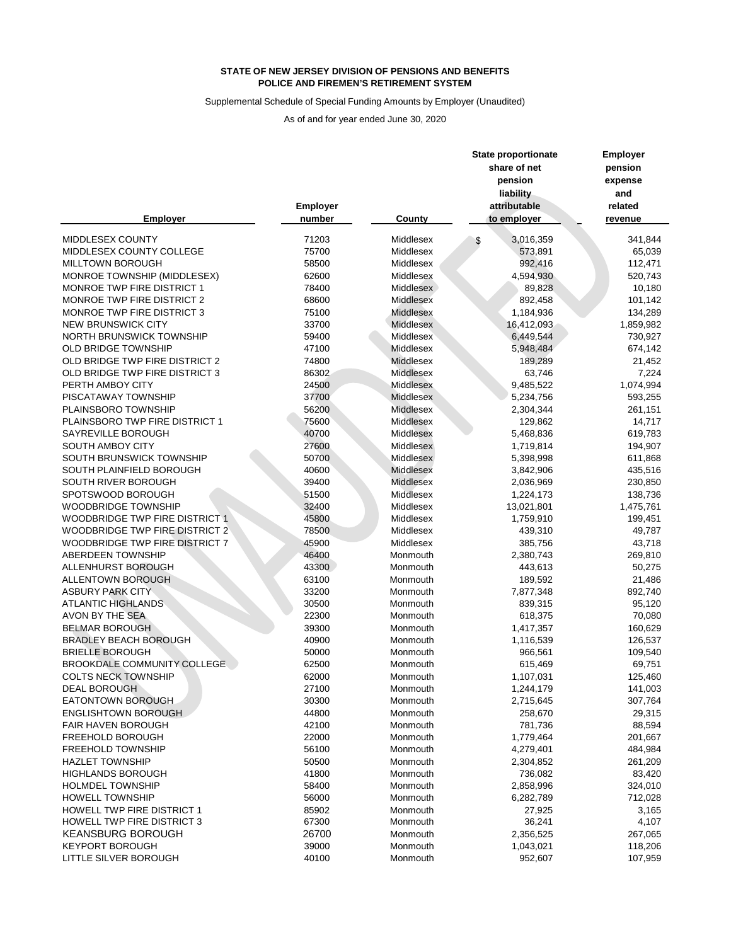## Supplemental Schedule of Special Funding Amounts by Employer (Unaudited)

| <b>Employer</b>                       | <b>Employer</b><br>number<br><b>County</b> |                  | <b>State proportionate</b><br>share of net<br>pension<br>liability<br>attributable<br>to employer | <b>Employer</b><br>pension<br>expense<br>and<br>related<br>revenue |  |
|---------------------------------------|--------------------------------------------|------------------|---------------------------------------------------------------------------------------------------|--------------------------------------------------------------------|--|
| MIDDLESEX COUNTY                      | 71203                                      | Middlesex        | 3,016,359                                                                                         | 341,844                                                            |  |
| MIDDLESEX COUNTY COLLEGE              | 75700                                      | Middlesex        | S<br>573,891                                                                                      | 65,039                                                             |  |
| <b>MILLTOWN BOROUGH</b>               | 58500                                      | Middlesex        | 992,416                                                                                           | 112,471                                                            |  |
| MONROE TOWNSHIP (MIDDLESEX)           | 62600                                      | Middlesex        | 4,594,930                                                                                         | 520,743                                                            |  |
| MONROE TWP FIRE DISTRICT 1            | 78400                                      | Middlesex        | 89,828                                                                                            | 10,180                                                             |  |
| MONROE TWP FIRE DISTRICT 2            | 68600                                      | <b>Middlesex</b> | 892,458                                                                                           | 101,142                                                            |  |
| <b>MONROE TWP FIRE DISTRICT 3</b>     | 75100                                      | <b>Middlesex</b> | 1,184,936                                                                                         | 134,289                                                            |  |
| <b>NEW BRUNSWICK CITY</b>             | 33700                                      | <b>Middlesex</b> | 16,412,093                                                                                        | 1,859,982                                                          |  |
| <b>NORTH BRUNSWICK TOWNSHIP</b>       | 59400                                      | Middlesex        | 6,449,544                                                                                         | 730,927                                                            |  |
| <b>OLD BRIDGE TOWNSHIP</b>            | 47100                                      | Middlesex        | 5,948,484                                                                                         | 674,142                                                            |  |
| OLD BRIDGE TWP FIRE DISTRICT 2        | 74800                                      | Middlesex        | 189,289                                                                                           | 21,452                                                             |  |
| OLD BRIDGE TWP FIRE DISTRICT 3        | 86302                                      | <b>Middlesex</b> | 63,746                                                                                            | 7,224                                                              |  |
| PERTH AMBOY CITY                      | 24500                                      | Middlesex        | 9,485,522                                                                                         | 1,074,994                                                          |  |
| PISCATAWAY TOWNSHIP                   | 37700                                      | Middlesex        | 5,234,756                                                                                         | 593,255                                                            |  |
| PLAINSBORO TOWNSHIP                   | 56200                                      | Middlesex        | 2,304,344                                                                                         | 261,151                                                            |  |
| PLAINSBORO TWP FIRE DISTRICT 1        | 75600                                      | Middlesex        | 129,862                                                                                           | 14,717                                                             |  |
| SAYREVILLE BOROUGH                    | 40700                                      | Middlesex        | 5,468,836                                                                                         | 619,783                                                            |  |
| SOUTH AMBOY CITY                      | 27600                                      | Middlesex        | 1,719,814                                                                                         | 194,907                                                            |  |
| SOUTH BRUNSWICK TOWNSHIP              | 50700                                      | Middlesex        | 5,398,998                                                                                         | 611,868                                                            |  |
| SOUTH PLAINFIELD BOROUGH              | 40600                                      | Middlesex        | 3,842,906                                                                                         | 435,516                                                            |  |
| SOUTH RIVER BOROUGH                   | 39400                                      | <b>Middlesex</b> | 2,036,969                                                                                         | 230,850                                                            |  |
| SPOTSWOOD BOROUGH                     | 51500                                      | Middlesex        | 1,224,173                                                                                         | 138,736                                                            |  |
| <b>WOODBRIDGE TOWNSHIP</b>            | 32400                                      | Middlesex        | 13,021,801                                                                                        | 1,475,761                                                          |  |
| <b>WOODBRIDGE TWP FIRE DISTRICT 1</b> | 45800                                      | Middlesex        | 1,759,910                                                                                         | 199,451                                                            |  |
| <b>WOODBRIDGE TWP FIRE DISTRICT 2</b> | 78500                                      | Middlesex        | 439,310                                                                                           | 49,787                                                             |  |
| <b>WOODBRIDGE TWP FIRE DISTRICT 7</b> | 45900                                      | Middlesex        | 385,756                                                                                           | 43,718                                                             |  |
| <b>ABERDEEN TOWNSHIP</b>              | 46400                                      | Monmouth         | 2,380,743                                                                                         | 269,810                                                            |  |
| ALLENHURST BOROUGH                    | 43300                                      | Monmouth         | 443,613                                                                                           | 50,275                                                             |  |
| <b>ALLENTOWN BOROUGH</b>              | 63100                                      | Monmouth         | 189,592                                                                                           | 21,486                                                             |  |
| <b>ASBURY PARK CITY</b>               | 33200                                      | Monmouth         | 7,877,348                                                                                         | 892,740                                                            |  |
| <b>ATLANTIC HIGHLANDS</b>             | 30500                                      | Monmouth         | 839,315                                                                                           | 95,120                                                             |  |
| AVON BY THE SEA                       | 22300                                      | Monmouth         | 618,375                                                                                           | 70,080                                                             |  |
| <b>BELMAR BOROUGH</b>                 | 39300                                      | Monmouth         | 1,417,357                                                                                         | 160,629                                                            |  |
| <b>BRADLEY BEACH BOROUGH</b>          | 40900                                      | Monmouth         | 1,116,539                                                                                         | 126,537                                                            |  |
| <b>BRIELLE BOROUGH</b>                | 50000                                      | Monmouth         | 966,561                                                                                           | 109,540                                                            |  |
| <b>BROOKDALE COMMUNITY COLLEGE.</b>   | 62500                                      | Monmouth         | 615,469                                                                                           | 69,751                                                             |  |
| <b>COLTS NECK TOWNSHIP</b>            | 62000                                      | Monmouth         | 1,107,031                                                                                         | 125,460                                                            |  |
| <b>DEAL BOROUGH</b>                   | 27100                                      | Monmouth         | 1,244,179                                                                                         | 141,003                                                            |  |
| <b>EATONTOWN BOROUGH</b>              | 30300                                      | Monmouth         | 2,715,645                                                                                         | 307,764                                                            |  |
| <b>ENGLISHTOWN BOROUGH</b>            | 44800                                      | Monmouth         | 258,670                                                                                           | 29,315                                                             |  |
| <b>FAIR HAVEN BOROUGH</b>             | 42100                                      | Monmouth         | 781,736                                                                                           | 88,594                                                             |  |
| FREEHOLD BOROUGH                      | 22000                                      | Monmouth         | 1,779,464                                                                                         | 201,667                                                            |  |
| <b>FREEHOLD TOWNSHIP</b>              | 56100                                      | Monmouth         | 4,279,401                                                                                         | 484,984                                                            |  |
| <b>HAZLET TOWNSHIP</b>                | 50500                                      | Monmouth         | 2,304,852                                                                                         | 261,209                                                            |  |
| <b>HIGHLANDS BOROUGH</b>              | 41800                                      | Monmouth         | 736,082                                                                                           | 83,420                                                             |  |
| <b>HOLMDEL TOWNSHIP</b>               | 58400                                      | Monmouth         | 2,858,996                                                                                         | 324,010                                                            |  |
| <b>HOWELL TOWNSHIP</b>                | 56000                                      | Monmouth         | 6,282,789                                                                                         | 712,028                                                            |  |
| HOWELL TWP FIRE DISTRICT 1            | 85902                                      | Monmouth         | 27,925                                                                                            | 3,165                                                              |  |
| <b>HOWELL TWP FIRE DISTRICT 3</b>     | 67300                                      | Monmouth         | 36,241                                                                                            | 4,107                                                              |  |
| <b>KEANSBURG BOROUGH</b>              | 26700                                      | Monmouth         | 2,356,525                                                                                         | 267,065                                                            |  |
| <b>KEYPORT BOROUGH</b>                | 39000                                      | Monmouth         | 1,043,021                                                                                         | 118,206                                                            |  |
| LITTLE SILVER BOROUGH                 | 40100                                      | Monmouth         | 952,607                                                                                           | 107,959                                                            |  |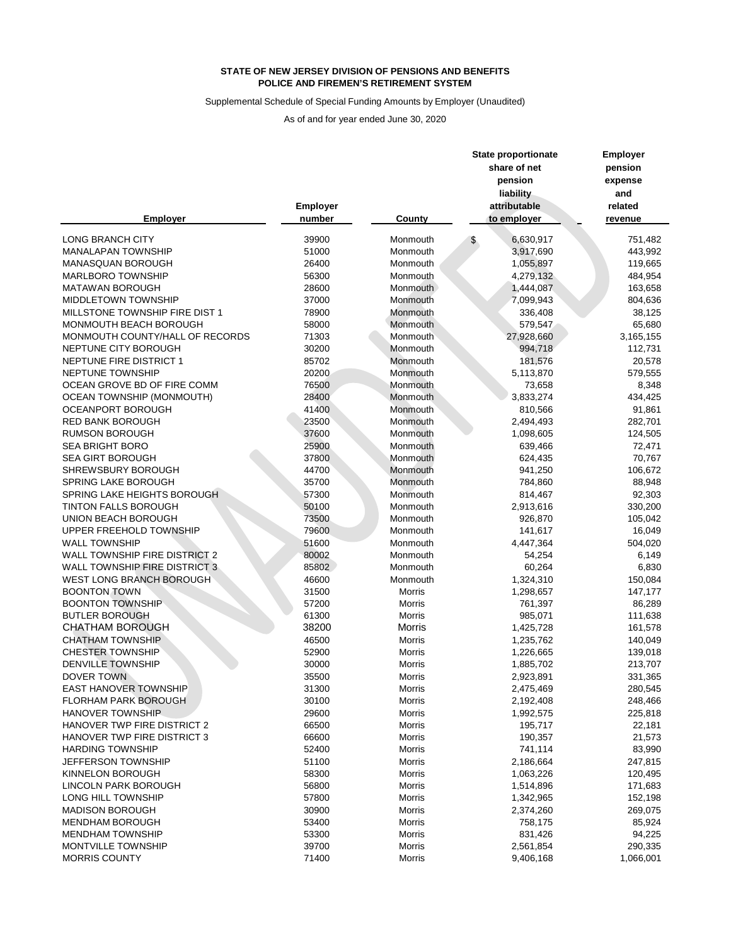#### Supplemental Schedule of Special Funding Amounts by Employer (Unaudited)

|                                      |                 |               | <b>State proportionate</b> |              | <b>Employer</b> |  |  |
|--------------------------------------|-----------------|---------------|----------------------------|--------------|-----------------|--|--|
|                                      |                 |               |                            | share of net | pension         |  |  |
|                                      |                 |               |                            | pension      | expense         |  |  |
|                                      |                 |               |                            | liability    | and             |  |  |
|                                      |                 |               |                            |              |                 |  |  |
|                                      | <b>Employer</b> |               |                            | attributable | related         |  |  |
| <b>Employer</b>                      | number          | <b>County</b> |                            | to employer  | revenue         |  |  |
| <b>LONG BRANCH CITY</b>              | 39900           | Monmouth      | \$                         | 6,630,917    | 751,482         |  |  |
| <b>MANALAPAN TOWNSHIP</b>            | 51000           | Monmouth      |                            | 3,917,690    | 443,992         |  |  |
| MANASQUAN BOROUGH                    | 26400           | Monmouth      |                            | 1,055,897    | 119,665         |  |  |
| <b>MARLBORO TOWNSHIP</b>             | 56300           | Monmouth      |                            | 4,279,132    | 484,954         |  |  |
| <b>MATAWAN BOROUGH</b>               | 28600           | Monmouth      |                            | 1,444,087    | 163,658         |  |  |
| MIDDLETOWN TOWNSHIP                  | 37000           | Monmouth      |                            | 7,099,943    | 804,636         |  |  |
| MILLSTONE TOWNSHIP FIRE DIST 1       | 78900           | Monmouth      |                            | 336,408      | 38,125          |  |  |
| MONMOUTH BEACH BOROUGH               | 58000           | Monmouth      |                            | 579,547      | 65,680          |  |  |
| MONMOUTH COUNTY/HALL OF RECORDS      | 71303           | Monmouth      |                            | 27,928,660   | 3,165,155       |  |  |
| NEPTUNE CITY BOROUGH                 | 30200           | Monmouth      |                            |              |                 |  |  |
| NEPTUNE FIRE DISTRICT 1              |                 |               |                            | 994,718      | 112,731         |  |  |
|                                      | 85702           | Monmouth      |                            | 181,576      | 20,578          |  |  |
| NEPTUNE TOWNSHIP                     | 20200           | Monmouth      |                            | 5,113,870    | 579,555         |  |  |
| OCEAN GROVE BD OF FIRE COMM          | 76500           | Monmouth      |                            | 73,658       | 8,348           |  |  |
| <b>OCEAN TOWNSHIP (MONMOUTH)</b>     | 28400           | Monmouth      |                            | 3,833,274    | 434,425         |  |  |
| <b>OCEANPORT BOROUGH</b>             | 41400           | Monmouth      |                            | 810,566      | 91,861          |  |  |
| RED BANK BOROUGH                     | 23500           | Monmouth      |                            | 2,494,493    | 282,701         |  |  |
| <b>RUMSON BOROUGH</b>                | 37600           | Monmouth      |                            | 1,098,605    | 124,505         |  |  |
| <b>SEA BRIGHT BORO</b>               | 25900           | Monmouth      |                            | 639,466      | 72,471          |  |  |
| <b>SEA GIRT BOROUGH</b>              | 37800           | Monmouth      |                            | 624,435      | 70,767          |  |  |
| <b>SHREWSBURY BOROUGH</b>            | 44700           | Monmouth      |                            | 941,250      | 106,672         |  |  |
| SPRING LAKE BOROUGH                  | 35700           | Monmouth      |                            | 784,860      | 88,948          |  |  |
| SPRING LAKE HEIGHTS BOROUGH          | 57300           | Monmouth      |                            | 814,467      | 92,303          |  |  |
| <b>TINTON FALLS BOROUGH</b>          | 50100           | Monmouth      |                            | 2,913,616    | 330,200         |  |  |
| UNION BEACH BOROUGH                  | 73500           | Monmouth      |                            | 926,870      | 105,042         |  |  |
| UPPER FREEHOLD TOWNSHIP              | 79600           | Monmouth      |                            | 141,617      | 16,049          |  |  |
| <b>WALL TOWNSHIP</b>                 | 51600           | Monmouth      |                            | 4,447,364    | 504,020         |  |  |
| <b>WALL TOWNSHIP FIRE DISTRICT 2</b> | 80002           | Monmouth      |                            | 54,254       | 6,149           |  |  |
| <b>WALL TOWNSHIP FIRE DISTRICT 3</b> | 85802           | Monmouth      |                            | 60,264       | 6,830           |  |  |
| WEST LONG BRANCH BOROUGH             | 46600           | Monmouth      |                            | 1,324,310    | 150,084         |  |  |
| <b>BOONTON TOWN</b>                  | 31500           | Morris        |                            | 1,298,657    | 147,177         |  |  |
| <b>BOONTON TOWNSHIP</b>              | 57200           | Morris        |                            | 761,397      | 86,289          |  |  |
| <b>BUTLER BOROUGH</b>                | 61300           | <b>Morris</b> |                            | 985,071      | 111,638         |  |  |
| <b>CHATHAM BOROUGH</b>               | 38200           | <b>Morris</b> |                            | 1,425,728    | 161,578         |  |  |
| <b>CHATHAM TOWNSHIP</b>              | 46500           | Morris        |                            | 1,235,762    | 140,049         |  |  |
| <b>CHESTER TOWNSHIP</b>              | 52900           | Morris        |                            | 1,226,665    | 139,018         |  |  |
| <b>DENVILLE TOWNSHIP</b>             | 30000           | <b>Morris</b> |                            | 1,885,702    | 213,707         |  |  |
| DOVER TOWN                           | 35500           | Morris        |                            | 2,923,891    | 331,365         |  |  |
| <b>EAST HANOVER TOWNSHIP</b>         | 31300           | <b>Morris</b> |                            | 2,475,469    | 280,545         |  |  |
| <b>FLORHAM PARK BOROUGH</b>          | 30100           | <b>Morris</b> |                            | 2,192,408    | 248,466         |  |  |
| <b>HANOVER TOWNSHIP</b>              | 29600           | Morris        |                            | 1,992,575    | 225,818         |  |  |
| HANOVER TWP FIRE DISTRICT 2          | 66500           | Morris        |                            | 195,717      | 22,181          |  |  |
| HANOVER TWP FIRE DISTRICT 3          | 66600           | <b>Morris</b> |                            | 190,357      | 21,573          |  |  |
| <b>HARDING TOWNSHIP</b>              | 52400           | Morris        |                            | 741,114      | 83,990          |  |  |
| JEFFERSON TOWNSHIP                   | 51100           | <b>Morris</b> |                            |              | 247,815         |  |  |
|                                      |                 |               |                            | 2,186,664    |                 |  |  |
| KINNELON BOROUGH                     | 58300           | <b>Morris</b> |                            | 1,063,226    | 120,495         |  |  |
| <b>LINCOLN PARK BOROUGH</b>          | 56800           | Morris        |                            | 1,514,896    | 171,683         |  |  |
| LONG HILL TOWNSHIP                   | 57800           | Morris        |                            | 1,342,965    | 152,198         |  |  |
| <b>MADISON BOROUGH</b>               | 30900           | Morris        |                            | 2,374,260    | 269,075         |  |  |
| <b>MENDHAM BOROUGH</b>               | 53400           | <b>Morris</b> |                            | 758,175      | 85,924          |  |  |
| <b>MENDHAM TOWNSHIP</b>              | 53300           | <b>Morris</b> |                            | 831,426      | 94,225          |  |  |
| MONTVILLE TOWNSHIP                   | 39700           | <b>Morris</b> |                            | 2,561,854    | 290,335         |  |  |
| <b>MORRIS COUNTY</b>                 | 71400           | Morris        |                            | 9,406,168    | 1,066,001       |  |  |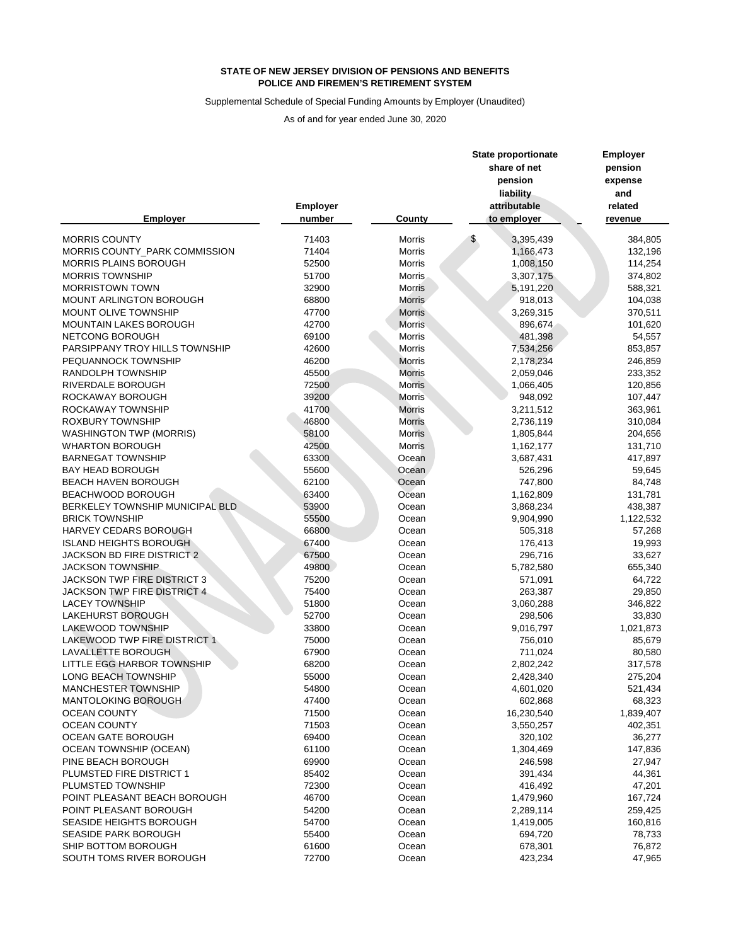## Supplemental Schedule of Special Funding Amounts by Employer (Unaudited)

| share of net<br>pension<br>pension<br>expense<br>liability<br>and<br>attributable<br><b>Employer</b><br>related<br><b>Employer</b><br>number<br><b>County</b><br>to employer<br>revenue<br><b>MORRIS COUNTY</b><br>71403<br><b>Morris</b><br>3,395,439<br>384,805<br>\$<br>MORRIS COUNTY_PARK COMMISSION<br>71404<br><b>Morris</b><br>1,166,473<br>132,196<br><b>MORRIS PLAINS BOROUGH</b><br>52500<br><b>Morris</b><br>1,008,150<br>114,254<br>51700<br><b>MORRIS TOWNSHIP</b><br>3,307,175<br>374,802<br><b>Morris</b><br><b>MORRISTOWN TOWN</b><br>32900<br><b>Morris</b><br>5,191,220<br>588,321<br>MOUNT ARLINGTON BOROUGH<br>68800<br>918,013<br>104,038<br><b>Morris</b><br>MOUNT OLIVE TOWNSHIP<br>47700<br>370,511<br><b>Morris</b><br>3,269,315<br>MOUNTAIN LAKES BOROUGH<br>42700<br><b>Morris</b><br>896,674<br>101,620<br>NETCONG BOROUGH<br>69100<br><b>Morris</b><br>481,398<br>54,557<br>PARSIPPANY TROY HILLS TOWNSHIP<br>42600<br>853,857<br>Morris<br>7,534,256<br>PEQUANNOCK TOWNSHIP<br>46200<br><b>Morris</b><br>2,178,234<br>246,859<br>RANDOLPH TOWNSHIP<br>45500<br><b>Morris</b><br>2,059,046<br>233,352<br>RIVERDALE BOROUGH<br>72500<br><b>Morris</b><br>1,066,405<br>120,856<br>39200<br>ROCKAWAY BOROUGH<br><b>Morris</b><br>948,092<br>107,447<br>41700<br>ROCKAWAY TOWNSHIP<br><b>Morris</b><br>3,211,512<br>363,961<br><b>ROXBURY TOWNSHIP</b><br>46800<br><b>Morris</b><br>2,736,119<br>310,084<br>58100<br><b>WASHINGTON TWP (MORRIS)</b><br><b>Morris</b><br>1,805,844<br>204,656<br>42500<br><b>WHARTON BOROUGH</b><br><b>Morris</b><br>1,162,177<br>131,710 | <b>Employer</b> |
|---------------------------------------------------------------------------------------------------------------------------------------------------------------------------------------------------------------------------------------------------------------------------------------------------------------------------------------------------------------------------------------------------------------------------------------------------------------------------------------------------------------------------------------------------------------------------------------------------------------------------------------------------------------------------------------------------------------------------------------------------------------------------------------------------------------------------------------------------------------------------------------------------------------------------------------------------------------------------------------------------------------------------------------------------------------------------------------------------------------------------------------------------------------------------------------------------------------------------------------------------------------------------------------------------------------------------------------------------------------------------------------------------------------------------------------------------------------------------------------------------------------------------------------------------------------------------------------------------|-----------------|
|                                                                                                                                                                                                                                                                                                                                                                                                                                                                                                                                                                                                                                                                                                                                                                                                                                                                                                                                                                                                                                                                                                                                                                                                                                                                                                                                                                                                                                                                                                                                                                                                   |                 |
|                                                                                                                                                                                                                                                                                                                                                                                                                                                                                                                                                                                                                                                                                                                                                                                                                                                                                                                                                                                                                                                                                                                                                                                                                                                                                                                                                                                                                                                                                                                                                                                                   |                 |
|                                                                                                                                                                                                                                                                                                                                                                                                                                                                                                                                                                                                                                                                                                                                                                                                                                                                                                                                                                                                                                                                                                                                                                                                                                                                                                                                                                                                                                                                                                                                                                                                   |                 |
|                                                                                                                                                                                                                                                                                                                                                                                                                                                                                                                                                                                                                                                                                                                                                                                                                                                                                                                                                                                                                                                                                                                                                                                                                                                                                                                                                                                                                                                                                                                                                                                                   |                 |
|                                                                                                                                                                                                                                                                                                                                                                                                                                                                                                                                                                                                                                                                                                                                                                                                                                                                                                                                                                                                                                                                                                                                                                                                                                                                                                                                                                                                                                                                                                                                                                                                   |                 |
|                                                                                                                                                                                                                                                                                                                                                                                                                                                                                                                                                                                                                                                                                                                                                                                                                                                                                                                                                                                                                                                                                                                                                                                                                                                                                                                                                                                                                                                                                                                                                                                                   |                 |
|                                                                                                                                                                                                                                                                                                                                                                                                                                                                                                                                                                                                                                                                                                                                                                                                                                                                                                                                                                                                                                                                                                                                                                                                                                                                                                                                                                                                                                                                                                                                                                                                   |                 |
|                                                                                                                                                                                                                                                                                                                                                                                                                                                                                                                                                                                                                                                                                                                                                                                                                                                                                                                                                                                                                                                                                                                                                                                                                                                                                                                                                                                                                                                                                                                                                                                                   |                 |
|                                                                                                                                                                                                                                                                                                                                                                                                                                                                                                                                                                                                                                                                                                                                                                                                                                                                                                                                                                                                                                                                                                                                                                                                                                                                                                                                                                                                                                                                                                                                                                                                   |                 |
|                                                                                                                                                                                                                                                                                                                                                                                                                                                                                                                                                                                                                                                                                                                                                                                                                                                                                                                                                                                                                                                                                                                                                                                                                                                                                                                                                                                                                                                                                                                                                                                                   |                 |
|                                                                                                                                                                                                                                                                                                                                                                                                                                                                                                                                                                                                                                                                                                                                                                                                                                                                                                                                                                                                                                                                                                                                                                                                                                                                                                                                                                                                                                                                                                                                                                                                   |                 |
|                                                                                                                                                                                                                                                                                                                                                                                                                                                                                                                                                                                                                                                                                                                                                                                                                                                                                                                                                                                                                                                                                                                                                                                                                                                                                                                                                                                                                                                                                                                                                                                                   |                 |
|                                                                                                                                                                                                                                                                                                                                                                                                                                                                                                                                                                                                                                                                                                                                                                                                                                                                                                                                                                                                                                                                                                                                                                                                                                                                                                                                                                                                                                                                                                                                                                                                   |                 |
|                                                                                                                                                                                                                                                                                                                                                                                                                                                                                                                                                                                                                                                                                                                                                                                                                                                                                                                                                                                                                                                                                                                                                                                                                                                                                                                                                                                                                                                                                                                                                                                                   |                 |
|                                                                                                                                                                                                                                                                                                                                                                                                                                                                                                                                                                                                                                                                                                                                                                                                                                                                                                                                                                                                                                                                                                                                                                                                                                                                                                                                                                                                                                                                                                                                                                                                   |                 |
|                                                                                                                                                                                                                                                                                                                                                                                                                                                                                                                                                                                                                                                                                                                                                                                                                                                                                                                                                                                                                                                                                                                                                                                                                                                                                                                                                                                                                                                                                                                                                                                                   |                 |
|                                                                                                                                                                                                                                                                                                                                                                                                                                                                                                                                                                                                                                                                                                                                                                                                                                                                                                                                                                                                                                                                                                                                                                                                                                                                                                                                                                                                                                                                                                                                                                                                   |                 |
|                                                                                                                                                                                                                                                                                                                                                                                                                                                                                                                                                                                                                                                                                                                                                                                                                                                                                                                                                                                                                                                                                                                                                                                                                                                                                                                                                                                                                                                                                                                                                                                                   |                 |
|                                                                                                                                                                                                                                                                                                                                                                                                                                                                                                                                                                                                                                                                                                                                                                                                                                                                                                                                                                                                                                                                                                                                                                                                                                                                                                                                                                                                                                                                                                                                                                                                   |                 |
|                                                                                                                                                                                                                                                                                                                                                                                                                                                                                                                                                                                                                                                                                                                                                                                                                                                                                                                                                                                                                                                                                                                                                                                                                                                                                                                                                                                                                                                                                                                                                                                                   |                 |
|                                                                                                                                                                                                                                                                                                                                                                                                                                                                                                                                                                                                                                                                                                                                                                                                                                                                                                                                                                                                                                                                                                                                                                                                                                                                                                                                                                                                                                                                                                                                                                                                   |                 |
|                                                                                                                                                                                                                                                                                                                                                                                                                                                                                                                                                                                                                                                                                                                                                                                                                                                                                                                                                                                                                                                                                                                                                                                                                                                                                                                                                                                                                                                                                                                                                                                                   |                 |
|                                                                                                                                                                                                                                                                                                                                                                                                                                                                                                                                                                                                                                                                                                                                                                                                                                                                                                                                                                                                                                                                                                                                                                                                                                                                                                                                                                                                                                                                                                                                                                                                   |                 |
| 63300<br><b>BARNEGAT TOWNSHIP</b><br>3,687,431<br>417,897<br>Ocean                                                                                                                                                                                                                                                                                                                                                                                                                                                                                                                                                                                                                                                                                                                                                                                                                                                                                                                                                                                                                                                                                                                                                                                                                                                                                                                                                                                                                                                                                                                                |                 |
| <b>BAY HEAD BOROUGH</b><br>55600<br>59,645<br>Ocean<br>526,296                                                                                                                                                                                                                                                                                                                                                                                                                                                                                                                                                                                                                                                                                                                                                                                                                                                                                                                                                                                                                                                                                                                                                                                                                                                                                                                                                                                                                                                                                                                                    |                 |
| <b>BEACH HAVEN BOROUGH</b><br>62100<br>84,748<br>747,800<br>Ocean                                                                                                                                                                                                                                                                                                                                                                                                                                                                                                                                                                                                                                                                                                                                                                                                                                                                                                                                                                                                                                                                                                                                                                                                                                                                                                                                                                                                                                                                                                                                 |                 |
| <b>BEACHWOOD BOROUGH</b><br>63400<br>1,162,809<br>Ocean<br>131,781                                                                                                                                                                                                                                                                                                                                                                                                                                                                                                                                                                                                                                                                                                                                                                                                                                                                                                                                                                                                                                                                                                                                                                                                                                                                                                                                                                                                                                                                                                                                |                 |
| 53900<br>BERKELEY TOWNSHIP MUNICIPAL BLD<br>3,868,234<br>438,387<br>Ocean                                                                                                                                                                                                                                                                                                                                                                                                                                                                                                                                                                                                                                                                                                                                                                                                                                                                                                                                                                                                                                                                                                                                                                                                                                                                                                                                                                                                                                                                                                                         |                 |
| <b>BRICK TOWNSHIP</b><br>55500<br>9,904,990<br>1,122,532<br>Ocean                                                                                                                                                                                                                                                                                                                                                                                                                                                                                                                                                                                                                                                                                                                                                                                                                                                                                                                                                                                                                                                                                                                                                                                                                                                                                                                                                                                                                                                                                                                                 |                 |
| HARVEY CEDARS BOROUGH<br>66800<br>Ocean<br>505,318<br>57,268                                                                                                                                                                                                                                                                                                                                                                                                                                                                                                                                                                                                                                                                                                                                                                                                                                                                                                                                                                                                                                                                                                                                                                                                                                                                                                                                                                                                                                                                                                                                      |                 |
| <b>ISLAND HEIGHTS BOROUGH</b><br>67400<br>Ocean<br>176,413<br>19,993                                                                                                                                                                                                                                                                                                                                                                                                                                                                                                                                                                                                                                                                                                                                                                                                                                                                                                                                                                                                                                                                                                                                                                                                                                                                                                                                                                                                                                                                                                                              |                 |
| JACKSON BD FIRE DISTRICT 2<br>67500<br>296,716<br>33,627<br>Ocean                                                                                                                                                                                                                                                                                                                                                                                                                                                                                                                                                                                                                                                                                                                                                                                                                                                                                                                                                                                                                                                                                                                                                                                                                                                                                                                                                                                                                                                                                                                                 |                 |
| 49800<br><b>JACKSON TOWNSHIP</b><br>5,782,580<br>655,340<br>Ocean                                                                                                                                                                                                                                                                                                                                                                                                                                                                                                                                                                                                                                                                                                                                                                                                                                                                                                                                                                                                                                                                                                                                                                                                                                                                                                                                                                                                                                                                                                                                 |                 |
| <b>JACKSON TWP FIRE DISTRICT 3</b><br>75200<br>571,091<br>64,722<br>Ocean                                                                                                                                                                                                                                                                                                                                                                                                                                                                                                                                                                                                                                                                                                                                                                                                                                                                                                                                                                                                                                                                                                                                                                                                                                                                                                                                                                                                                                                                                                                         |                 |
| JACKSON TWP FIRE DISTRICT 4<br>75400<br>263,387<br>29,850<br>Ocean                                                                                                                                                                                                                                                                                                                                                                                                                                                                                                                                                                                                                                                                                                                                                                                                                                                                                                                                                                                                                                                                                                                                                                                                                                                                                                                                                                                                                                                                                                                                |                 |
| <b>LACEY TOWNSHIP</b><br>51800<br>3,060,288<br>346,822<br>Ocean                                                                                                                                                                                                                                                                                                                                                                                                                                                                                                                                                                                                                                                                                                                                                                                                                                                                                                                                                                                                                                                                                                                                                                                                                                                                                                                                                                                                                                                                                                                                   |                 |
| <b>LAKEHURST BOROUGH</b><br>52700<br>298,506<br>33,830<br>Ocean                                                                                                                                                                                                                                                                                                                                                                                                                                                                                                                                                                                                                                                                                                                                                                                                                                                                                                                                                                                                                                                                                                                                                                                                                                                                                                                                                                                                                                                                                                                                   |                 |
| LAKEWOOD TOWNSHIP<br>33800<br>1,021,873<br>9,016,797<br>Ocean                                                                                                                                                                                                                                                                                                                                                                                                                                                                                                                                                                                                                                                                                                                                                                                                                                                                                                                                                                                                                                                                                                                                                                                                                                                                                                                                                                                                                                                                                                                                     |                 |
| LAKEWOOD TWP FIRE DISTRICT 1<br>75000<br>756,010<br>85,679<br>Ocean                                                                                                                                                                                                                                                                                                                                                                                                                                                                                                                                                                                                                                                                                                                                                                                                                                                                                                                                                                                                                                                                                                                                                                                                                                                                                                                                                                                                                                                                                                                               |                 |
| LAVALLETTE BOROUGH<br>67900<br>711,024<br>80,580<br>Ocean                                                                                                                                                                                                                                                                                                                                                                                                                                                                                                                                                                                                                                                                                                                                                                                                                                                                                                                                                                                                                                                                                                                                                                                                                                                                                                                                                                                                                                                                                                                                         |                 |
| LITTLE EGG HARBOR TOWNSHIP<br>68200<br>2,802,242<br>317,578<br>Ocean                                                                                                                                                                                                                                                                                                                                                                                                                                                                                                                                                                                                                                                                                                                                                                                                                                                                                                                                                                                                                                                                                                                                                                                                                                                                                                                                                                                                                                                                                                                              |                 |
| <b>LONG BEACH TOWNSHIP</b><br>55000<br>2,428,340<br>275,204<br>Ocean                                                                                                                                                                                                                                                                                                                                                                                                                                                                                                                                                                                                                                                                                                                                                                                                                                                                                                                                                                                                                                                                                                                                                                                                                                                                                                                                                                                                                                                                                                                              |                 |
| MANCHESTER TOWNSHIP<br>54800<br>4,601,020<br>521,434<br>Ocean                                                                                                                                                                                                                                                                                                                                                                                                                                                                                                                                                                                                                                                                                                                                                                                                                                                                                                                                                                                                                                                                                                                                                                                                                                                                                                                                                                                                                                                                                                                                     |                 |
| MANTOLOKING BOROUGH<br>47400<br>68,323<br>602,868<br>Ocean                                                                                                                                                                                                                                                                                                                                                                                                                                                                                                                                                                                                                                                                                                                                                                                                                                                                                                                                                                                                                                                                                                                                                                                                                                                                                                                                                                                                                                                                                                                                        |                 |
| 1,839,407<br><b>OCEAN COUNTY</b><br>71500<br>16,230,540<br>Ocean                                                                                                                                                                                                                                                                                                                                                                                                                                                                                                                                                                                                                                                                                                                                                                                                                                                                                                                                                                                                                                                                                                                                                                                                                                                                                                                                                                                                                                                                                                                                  |                 |
| <b>OCEAN COUNTY</b><br>71503<br>3,550,257<br>402,351<br>Ocean                                                                                                                                                                                                                                                                                                                                                                                                                                                                                                                                                                                                                                                                                                                                                                                                                                                                                                                                                                                                                                                                                                                                                                                                                                                                                                                                                                                                                                                                                                                                     |                 |
| <b>OCEAN GATE BOROUGH</b><br>69400<br>320,102<br>36,277<br>Ocean                                                                                                                                                                                                                                                                                                                                                                                                                                                                                                                                                                                                                                                                                                                                                                                                                                                                                                                                                                                                                                                                                                                                                                                                                                                                                                                                                                                                                                                                                                                                  |                 |
| <b>OCEAN TOWNSHIP (OCEAN)</b><br>61100<br>1,304,469<br>147,836<br>Ocean                                                                                                                                                                                                                                                                                                                                                                                                                                                                                                                                                                                                                                                                                                                                                                                                                                                                                                                                                                                                                                                                                                                                                                                                                                                                                                                                                                                                                                                                                                                           |                 |
| PINE BEACH BOROUGH<br>69900<br>27,947<br>246,598<br>Ocean                                                                                                                                                                                                                                                                                                                                                                                                                                                                                                                                                                                                                                                                                                                                                                                                                                                                                                                                                                                                                                                                                                                                                                                                                                                                                                                                                                                                                                                                                                                                         |                 |
| PLUMSTED FIRE DISTRICT 1<br>85402<br>44,361<br>391,434<br>Ocean                                                                                                                                                                                                                                                                                                                                                                                                                                                                                                                                                                                                                                                                                                                                                                                                                                                                                                                                                                                                                                                                                                                                                                                                                                                                                                                                                                                                                                                                                                                                   |                 |
| PLUMSTED TOWNSHIP<br>72300<br>47,201<br>416,492<br>Ocean                                                                                                                                                                                                                                                                                                                                                                                                                                                                                                                                                                                                                                                                                                                                                                                                                                                                                                                                                                                                                                                                                                                                                                                                                                                                                                                                                                                                                                                                                                                                          |                 |
| 46700<br>167,724<br>POINT PLEASANT BEACH BOROUGH<br>1,479,960<br>Ocean                                                                                                                                                                                                                                                                                                                                                                                                                                                                                                                                                                                                                                                                                                                                                                                                                                                                                                                                                                                                                                                                                                                                                                                                                                                                                                                                                                                                                                                                                                                            |                 |
| POINT PLEASANT BOROUGH<br>54200<br>2,289,114<br>259,425<br>Ocean                                                                                                                                                                                                                                                                                                                                                                                                                                                                                                                                                                                                                                                                                                                                                                                                                                                                                                                                                                                                                                                                                                                                                                                                                                                                                                                                                                                                                                                                                                                                  |                 |
| <b>SEASIDE HEIGHTS BOROUGH</b><br>54700<br>1,419,005<br>160,816<br>Ocean                                                                                                                                                                                                                                                                                                                                                                                                                                                                                                                                                                                                                                                                                                                                                                                                                                                                                                                                                                                                                                                                                                                                                                                                                                                                                                                                                                                                                                                                                                                          |                 |
| <b>SEASIDE PARK BOROUGH</b><br>55400<br>694,720<br>78,733<br>Ocean                                                                                                                                                                                                                                                                                                                                                                                                                                                                                                                                                                                                                                                                                                                                                                                                                                                                                                                                                                                                                                                                                                                                                                                                                                                                                                                                                                                                                                                                                                                                |                 |
| SHIP BOTTOM BOROUGH<br>61600<br>76,872<br>678,301<br>Ocean                                                                                                                                                                                                                                                                                                                                                                                                                                                                                                                                                                                                                                                                                                                                                                                                                                                                                                                                                                                                                                                                                                                                                                                                                                                                                                                                                                                                                                                                                                                                        |                 |
| SOUTH TOMS RIVER BOROUGH<br>72700<br>47,965<br>423,234<br>Ocean                                                                                                                                                                                                                                                                                                                                                                                                                                                                                                                                                                                                                                                                                                                                                                                                                                                                                                                                                                                                                                                                                                                                                                                                                                                                                                                                                                                                                                                                                                                                   |                 |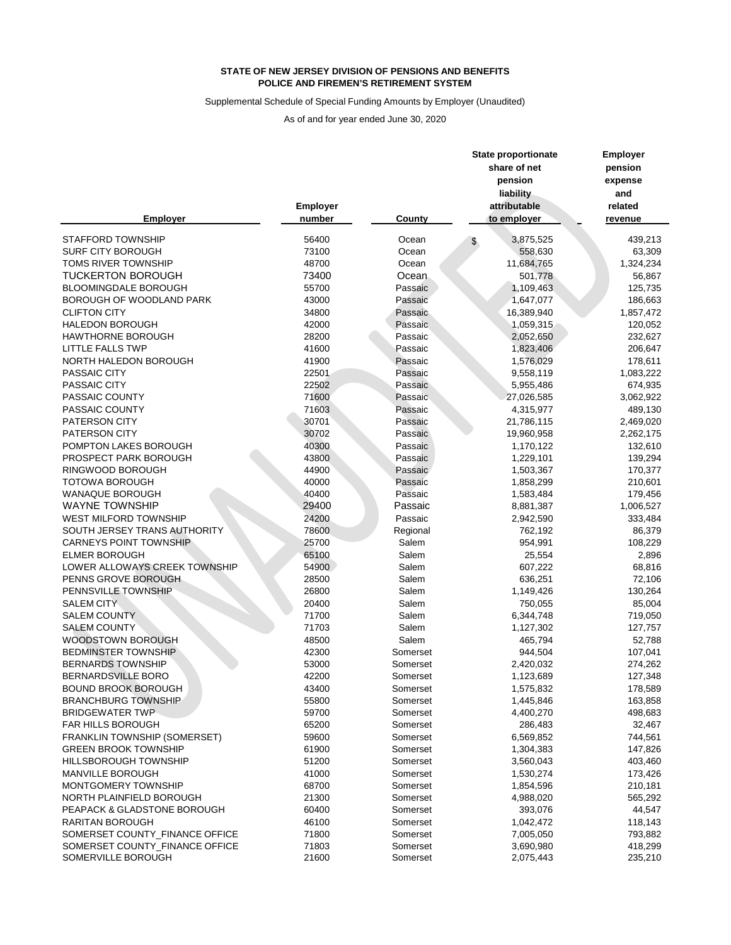## Supplemental Schedule of Special Funding Amounts by Employer (Unaudited)

|                                |                 |          | <b>State proportionate</b><br>share of net<br>pension<br>liability | <b>Employer</b><br>pension<br>expense<br>and |
|--------------------------------|-----------------|----------|--------------------------------------------------------------------|----------------------------------------------|
|                                | <b>Employer</b> |          | attributable                                                       | related                                      |
| <b>Employer</b>                | number          | County   | to employer                                                        | revenue                                      |
| <b>STAFFORD TOWNSHIP</b>       | 56400           | Ocean    | 3,875,525<br>$\frac{2}{3}$                                         | 439,213                                      |
| <b>SURF CITY BOROUGH</b>       | 73100           | Ocean    | 558,630                                                            | 63,309                                       |
| TOMS RIVER TOWNSHIP            | 48700           | Ocean    | 11,684,765                                                         | 1,324,234                                    |
| <b>TUCKERTON BOROUGH</b>       | 73400           | Ocean    | 501,778                                                            | 56,867                                       |
| <b>BLOOMINGDALE BOROUGH</b>    | 55700           | Passaic  | 1,109,463                                                          | 125,735                                      |
| BOROUGH OF WOODLAND PARK       | 43000           | Passaic  | 1,647,077                                                          | 186,663                                      |
| <b>CLIFTON CITY</b>            | 34800           | Passaic  | 16,389,940                                                         | 1,857,472                                    |
| <b>HALEDON BOROUGH</b>         | 42000           | Passaic  | 1,059,315                                                          | 120,052                                      |
| <b>HAWTHORNE BOROUGH</b>       | 28200           | Passaic  | 2,052,650                                                          | 232,627                                      |
| <b>LITTLE FALLS TWP</b>        | 41600           | Passaic  | 1,823,406                                                          | 206,647                                      |
| NORTH HALEDON BOROUGH          | 41900           | Passaic  | 1,576,029                                                          | 178,611                                      |
| PASSAIC CITY                   | 22501           | Passaic  | 9,558,119                                                          | 1,083,222                                    |
| PASSAIC CITY                   | 22502           | Passaic  | 5,955,486                                                          | 674,935                                      |
| PASSAIC COUNTY                 | 71600           | Passaic  | 27,026,585                                                         | 3,062,922                                    |
| PASSAIC COUNTY                 | 71603           | Passaic  | 4,315,977                                                          | 489,130                                      |
| PATERSON CITY                  | 30701           | Passaic  | 21,786,115                                                         | 2,469,020                                    |
| PATERSON CITY                  | 30702           | Passaic  | 19,960,958                                                         | 2,262,175                                    |
| POMPTON LAKES BOROUGH          | 40300           | Passaic  | 1,170,122                                                          | 132,610                                      |
| PROSPECT PARK BOROUGH          | 43800           | Passaic  | 1,229,101                                                          | 139,294                                      |
| RINGWOOD BOROUGH               | 44900           | Passaic  | 1,503,367                                                          | 170,377                                      |
| <b>TOTOWA BOROUGH</b>          | 40000           | Passaic  | 1,858,299                                                          | 210,601                                      |
| <b>WANAQUE BOROUGH</b>         | 40400           | Passaic  | 1,583,484                                                          | 179,456                                      |
| <b>WAYNE TOWNSHIP</b>          | 29400           | Passaic  | 8,881,387                                                          | 1,006,527                                    |
| <b>WEST MILFORD TOWNSHIP</b>   | 24200           | Passaic  | 2,942,590                                                          | 333,484                                      |
| SOUTH JERSEY TRANS AUTHORITY   | 78600           | Regional | 762,192                                                            | 86,379                                       |
| <b>CARNEYS POINT TOWNSHIP</b>  | 25700           | Salem    | 954,991                                                            | 108,229                                      |
| <b>ELMER BOROUGH</b>           | 65100           | Salem    | 25,554                                                             | 2,896                                        |
| LOWER ALLOWAYS CREEK TOWNSHIP  | 54900           | Salem    | 607,222                                                            | 68,816                                       |
| PENNS GROVE BOROUGH            | 28500           | Salem    | 636,251                                                            | 72,106                                       |
| PENNSVILLE TOWNSHIP            | 26800           | Salem    | 1,149,426                                                          | 130,264                                      |
| <b>SALEM CITY</b>              | 20400           | Salem    | 750,055                                                            | 85,004                                       |
| <b>SALEM COUNTY</b>            | 71700           | Salem    | 6,344,748                                                          | 719,050                                      |
| <b>SALEM COUNTY</b>            | 71703           | Salem    | 1,127,302                                                          | 127,757                                      |
| WOODSTOWN BOROUGH              | 48500           | Salem    | 465,794                                                            | 52,788                                       |
| <b>BEDMINSTER TOWNSHIP</b>     | 42300           | Somerset | 944,504                                                            | 107,041                                      |
| <b>BERNARDS TOWNSHIP</b>       | 53000           | Somerset | 2,420,032                                                          | 274,262                                      |
| BERNARDSVILLE BORO             | 42200           | Somerset | 1,123,689                                                          | 127,348                                      |
| <b>BOUND BROOK BOROUGH</b>     | 43400           | Somerset | 1,575,832                                                          | 178,589                                      |
| <b>BRANCHBURG TOWNSHIP</b>     | 55800           | Somerset | 1,445,846                                                          | 163,858                                      |
| <b>BRIDGEWATER TWP</b>         | 59700           | Somerset | 4,400,270                                                          | 498,683                                      |
| FAR HILLS BOROUGH              | 65200           | Somerset | 286,483                                                            | 32,467                                       |
| FRANKLIN TOWNSHIP (SOMERSET)   | 59600           | Somerset | 6,569,852                                                          | 744,561                                      |
| <b>GREEN BROOK TOWNSHIP</b>    | 61900           | Somerset | 1,304,383                                                          | 147,826                                      |
| HILLSBOROUGH TOWNSHIP          | 51200           | Somerset | 3,560,043                                                          | 403,460                                      |
| <b>MANVILLE BOROUGH</b>        | 41000           | Somerset | 1,530,274                                                          | 173,426                                      |
| MONTGOMERY TOWNSHIP            | 68700           | Somerset | 1,854,596                                                          | 210,181                                      |
| NORTH PLAINFIELD BOROUGH       | 21300           | Somerset | 4,988,020                                                          | 565,292                                      |
| PEAPACK & GLADSTONE BOROUGH    | 60400           | Somerset | 393,076                                                            | 44,547                                       |
| RARITAN BOROUGH                | 46100           | Somerset | 1,042,472                                                          | 118,143                                      |
| SOMERSET COUNTY_FINANCE OFFICE | 71800           | Somerset | 7,005,050                                                          | 793,882                                      |
| SOMERSET COUNTY_FINANCE OFFICE | 71803           | Somerset | 3,690,980                                                          | 418,299                                      |
| SOMERVILLE BOROUGH             | 21600           | Somerset | 2,075,443                                                          | 235,210                                      |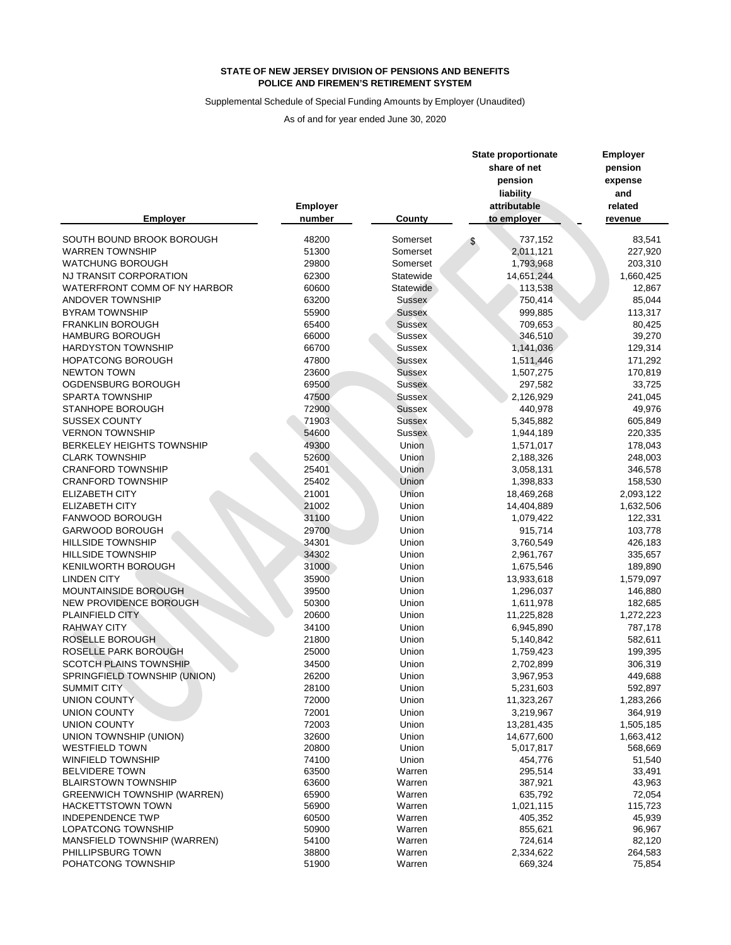## Supplemental Schedule of Special Funding Amounts by Employer (Unaudited)

|                                    |                           |               | <b>State proportionate</b><br>share of net<br>pension<br>liability |            | <b>Employer</b><br>pension<br>expense<br>and |
|------------------------------------|---------------------------|---------------|--------------------------------------------------------------------|------------|----------------------------------------------|
| <b>Employer</b>                    | <b>Employer</b><br>number | <b>County</b> | attributable<br>to employer                                        |            | related<br>revenue                           |
| SOUTH BOUND BROOK BOROUGH          | 48200                     | Somerset      |                                                                    | 737,152    | 83,541                                       |
| <b>WARREN TOWNSHIP</b>             | 51300                     | Somerset      |                                                                    | 2,011,121  | 227,920                                      |
| <b>WATCHUNG BOROUGH</b>            | 29800                     | Somerset      |                                                                    | 1,793,968  | 203,310                                      |
| NJ TRANSIT CORPORATION             | 62300                     | Statewide     |                                                                    | 14,651,244 | 1,660,425                                    |
| WATERFRONT COMM OF NY HARBOR       | 60600                     | Statewide     |                                                                    | 113,538    | 12,867                                       |
| ANDOVER TOWNSHIP                   | 63200                     | Sussex        |                                                                    | 750,414    | 85,044                                       |
| <b>BYRAM TOWNSHIP</b>              | 55900                     | <b>Sussex</b> |                                                                    | 999,885    | 113,317                                      |
| <b>FRANKLIN BOROUGH</b>            | 65400                     | <b>Sussex</b> |                                                                    | 709,653    | 80,425                                       |
| <b>HAMBURG BOROUGH</b>             | 66000                     | <b>Sussex</b> |                                                                    | 346,510    | 39,270                                       |
| <b>HARDYSTON TOWNSHIP</b>          | 66700                     | <b>Sussex</b> |                                                                    | 1,141,036  | 129,314                                      |
| <b>HOPATCONG BOROUGH</b>           | 47800                     | <b>Sussex</b> |                                                                    | 1,511,446  | 171,292                                      |
| <b>NEWTON TOWN</b>                 | 23600                     | <b>Sussex</b> |                                                                    | 1,507,275  | 170,819                                      |
| OGDENSBURG BOROUGH                 | 69500                     | <b>Sussex</b> |                                                                    | 297,582    | 33,725                                       |
| <b>SPARTA TOWNSHIP</b>             | 47500                     | <b>Sussex</b> |                                                                    | 2,126,929  | 241,045                                      |
| STANHOPE BOROUGH                   | 72900                     | <b>Sussex</b> |                                                                    | 440,978    | 49,976                                       |
| <b>SUSSEX COUNTY</b>               | 71903                     | <b>Sussex</b> |                                                                    | 5,345,882  | 605,849                                      |
| <b>VERNON TOWNSHIP</b>             | 54600                     | <b>Sussex</b> |                                                                    | 1,944,189  | 220,335                                      |
| <b>BERKELEY HEIGHTS TOWNSHIP</b>   | 49300                     | Union         |                                                                    | 1,571,017  | 178,043                                      |
| <b>CLARK TOWNSHIP</b>              | 52600                     | Union         |                                                                    | 2,188,326  | 248,003                                      |
| <b>CRANFORD TOWNSHIP</b>           | 25401                     | Union         |                                                                    | 3,058,131  | 346,578                                      |
| <b>CRANFORD TOWNSHIP</b>           | 25402                     | Union         |                                                                    | 1,398,833  | 158,530                                      |
| <b>ELIZABETH CITY</b>              | 21001                     | Union         |                                                                    | 18,469,268 | 2,093,122                                    |
| <b>ELIZABETH CITY</b>              | 21002                     | Union         |                                                                    | 14,404,889 | 1,632,506                                    |
| FANWOOD BOROUGH                    | 31100                     | Union         |                                                                    | 1,079,422  | 122,331                                      |
| <b>GARWOOD BOROUGH</b>             | 29700                     | Union         |                                                                    | 915,714    | 103,778                                      |
| <b>HILLSIDE TOWNSHIP</b>           | 34301                     | Union         |                                                                    | 3,760,549  | 426,183                                      |
| <b>HILLSIDE TOWNSHIP</b>           | 34302                     | Union         |                                                                    | 2,961,767  | 335,657                                      |
| <b>KENILWORTH BOROUGH</b>          | 31000                     | Union         |                                                                    | 1,675,546  | 189,890                                      |
| <b>LINDEN CITY</b>                 | 35900                     | Union         |                                                                    | 13,933,618 | 1,579,097                                    |
| <b>MOUNTAINSIDE BOROUGH</b>        | 39500                     | Union         |                                                                    | 1,296,037  | 146,880                                      |
| NEW PROVIDENCE BOROUGH             | 50300                     | Union         |                                                                    | 1,611,978  | 182,685                                      |
| PLAINFIELD CITY                    | 20600                     | Union         |                                                                    | 11,225,828 | 1,272,223                                    |
| <b>RAHWAY CITY</b>                 | 34100                     | Union         |                                                                    | 6,945,890  | 787,178                                      |
| ROSELLE BOROUGH                    | 21800                     | Union         |                                                                    | 5,140,842  | 582,611                                      |
| ROSELLE PARK BOROUGH               | 25000                     | Union         |                                                                    | 1,759,423  | 199,395                                      |
| <b>SCOTCH PLAINS TOWNSHIP</b>      | 34500                     | Union         |                                                                    | 2,702,899  | 306,319                                      |
| SPRINGFIELD TOWNSHIP (UNION)       | 26200                     | Union         |                                                                    | 3,967,953  | 449,688                                      |
| <b>SUMMIT CITY</b>                 | 28100                     | Union         |                                                                    | 5,231,603  | 592,897                                      |
| UNION COUNTY                       | 72000                     | Union         |                                                                    | 11,323,267 | 1,283,266                                    |
| <b>UNION COUNTY</b>                | 72001                     | Union         |                                                                    | 3,219,967  | 364,919                                      |
| <b>UNION COUNTY</b>                | 72003                     | Union         |                                                                    | 13,281,435 | 1,505,185                                    |
| UNION TOWNSHIP (UNION)             | 32600                     | Union         |                                                                    | 14,677,600 | 1,663,412                                    |
| <b>WESTFIELD TOWN</b>              | 20800                     | Union         |                                                                    | 5,017,817  | 568,669                                      |
| <b>WINFIELD TOWNSHIP</b>           | 74100                     | Union         |                                                                    | 454,776    | 51,540                                       |
| <b>BELVIDERE TOWN</b>              | 63500                     | Warren        |                                                                    | 295,514    | 33,491                                       |
| <b>BLAIRSTOWN TOWNSHIP</b>         | 63600                     | Warren        |                                                                    | 387,921    | 43,963                                       |
| <b>GREENWICH TOWNSHIP (WARREN)</b> | 65900                     | Warren        |                                                                    | 635,792    | 72,054                                       |
| <b>HACKETTSTOWN TOWN</b>           | 56900                     | Warren        |                                                                    | 1,021,115  | 115,723                                      |
| <b>INDEPENDENCE TWP</b>            | 60500                     | Warren        |                                                                    | 405,352    | 45,939                                       |
| LOPATCONG TOWNSHIP                 | 50900                     | Warren        |                                                                    | 855,621    | 96,967                                       |
| MANSFIELD TOWNSHIP (WARREN)        | 54100                     | Warren        |                                                                    | 724,614    | 82,120                                       |
| PHILLIPSBURG TOWN                  | 38800                     | Warren        |                                                                    | 2,334,622  | 264,583                                      |
| POHATCONG TOWNSHIP                 | 51900                     | Warren        |                                                                    | 669,324    | 75,854                                       |